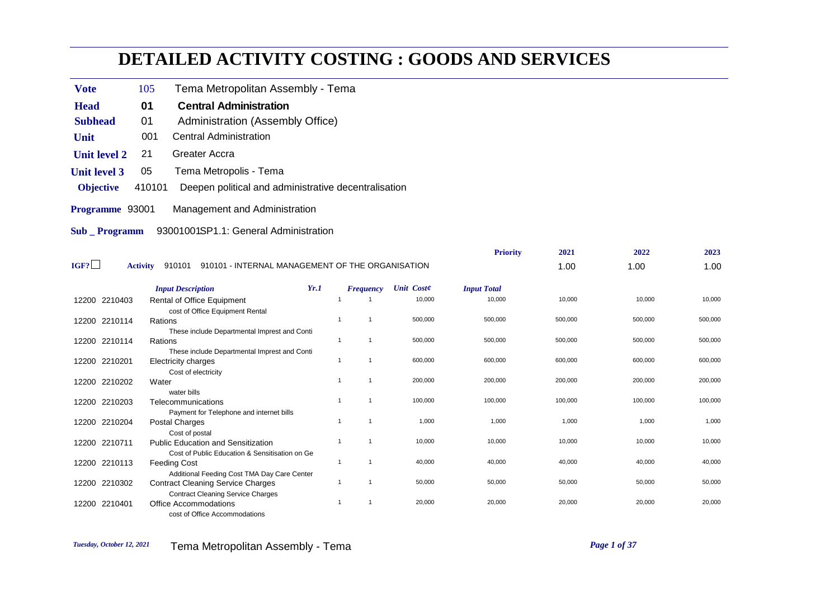## **DETAILED ACTIVITY COSTING : GOODS AND SERVICES**

- Vote 105 Tema Metropolitan Assembly Tema
- **Head** 01 Central Administration
- **Subhead** 01 Administration (Assembly Office)
- **Unit** 001 Central Administration
- **Unit level 2** 21 Greater Accra
- **Unit level 3** 05 Tema Metropolis Tema
- **Objective** 410101 Deepen political and administrative decentralisation
- **Programme** 93001 Management and Administration
- **Sub \_ Programm** 93001001SP1.1: General Administration

|               |                                                                                         |                |                  |                   | <b>Priority</b>    | 2021    | 2022    | 2023    |
|---------------|-----------------------------------------------------------------------------------------|----------------|------------------|-------------------|--------------------|---------|---------|---------|
| IGF?          | 910101 - INTERNAL MANAGEMENT OF THE ORGANISATION<br><b>Activity</b><br>910101           |                |                  |                   |                    | 1.00    | 1.00    | 1.00    |
|               | <b>Input Description</b>                                                                | Yr.1           | <b>Frequency</b> | <b>Unit Coste</b> | <b>Input Total</b> |         |         |         |
| 12200 2210403 | Rental of Office Equipment                                                              |                |                  | 10,000            | 10,000             | 10,000  | 10,000  | 10,000  |
|               | cost of Office Equipment Rental                                                         |                |                  |                   |                    |         |         |         |
| 12200 2210114 | Rations                                                                                 |                |                  | 500,000           | 500,000            | 500,000 | 500,000 | 500,000 |
|               | These include Departmental Imprest and Conti                                            |                |                  |                   |                    |         |         |         |
| 12200 2210114 | Rations                                                                                 |                |                  | 500,000           | 500,000            | 500,000 | 500,000 | 500,000 |
|               | These include Departmental Imprest and Conti                                            |                |                  |                   |                    |         |         |         |
| 12200 2210201 | Electricity charges                                                                     | -1             |                  | 600,000           | 600,000            | 600,000 | 600,000 | 600,000 |
|               | Cost of electricity                                                                     |                |                  |                   |                    |         |         |         |
| 12200 2210202 | Water                                                                                   |                |                  | 200,000           | 200,000            | 200,000 | 200,000 | 200,000 |
|               | water bills                                                                             |                |                  |                   |                    |         |         |         |
| 12200 2210203 | Telecommunications                                                                      |                |                  | 100,000           | 100,000            | 100,000 | 100,000 | 100,000 |
|               | Payment for Telephone and internet bills                                                |                |                  |                   |                    |         |         |         |
| 12200 2210204 | Postal Charges                                                                          |                |                  | 1,000             | 1,000              | 1,000   | 1,000   | 1,000   |
|               | Cost of postal                                                                          | $\overline{1}$ |                  | 10,000            | 10,000             | 10,000  | 10,000  | 10,000  |
| 12200 2210711 | <b>Public Education and Sensitization</b>                                               |                |                  |                   |                    |         |         |         |
|               | Cost of Public Education & Sensitisation on Ge                                          | -1             |                  | 40,000            | 40,000             | 40,000  | 40,000  | 40,000  |
| 12200 2210113 | <b>Feeding Cost</b>                                                                     |                |                  |                   |                    |         |         |         |
| 12200 2210302 | Additional Feeding Cost TMA Day Care Center<br><b>Contract Cleaning Service Charges</b> |                |                  | 50,000            | 50,000             | 50,000  | 50,000  | 50,000  |
|               | <b>Contract Cleaning Service Charges</b>                                                |                |                  |                   |                    |         |         |         |
| 12200 2210401 | <b>Office Accommodations</b>                                                            |                |                  | 20,000            | 20,000             | 20,000  | 20,000  | 20,000  |
|               | cost of Office Accommodations                                                           |                |                  |                   |                    |         |         |         |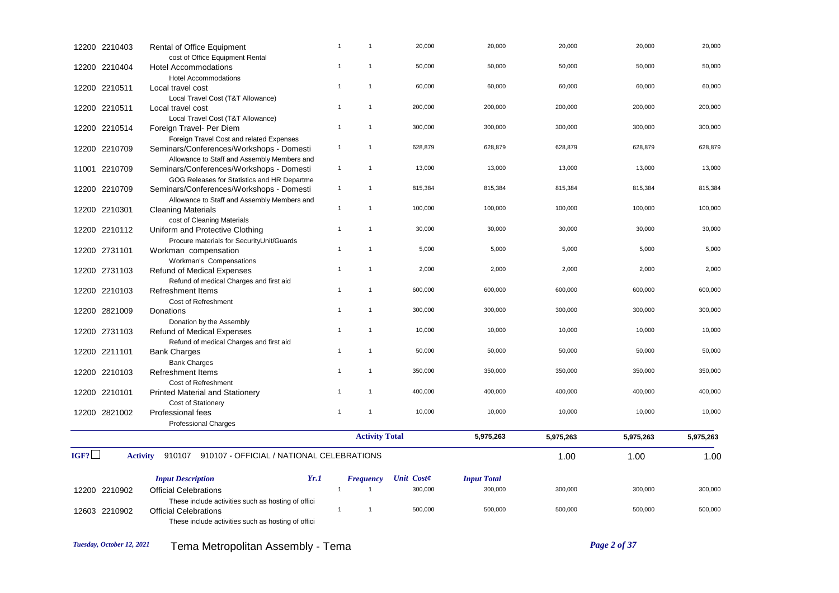| 12200 2210403 | Rental of Office Equipment                                                                                                               | $\overline{1}$                   | $\mathbf{1}$          | 20,000     | 20,000             | 20,000    | 20,000    | 20,000    |
|---------------|------------------------------------------------------------------------------------------------------------------------------------------|----------------------------------|-----------------------|------------|--------------------|-----------|-----------|-----------|
| 12200 2210404 | cost of Office Equipment Rental<br>Hotel Accommodations<br><b>Hotel Accommodations</b>                                                   | $\mathbf{1}$                     | $\mathbf{1}$          | 50,000     | 50,000             | 50,000    | 50,000    | 50,000    |
| 12200 2210511 | Local travel cost<br>Local Travel Cost (T&T Allowance)                                                                                   | $\overline{1}$                   | $\mathbf{1}$          | 60,000     | 60,000             | 60,000    | 60,000    | 60,000    |
| 12200 2210511 | Local travel cost<br>Local Travel Cost (T&T Allowance)                                                                                   | $\overline{1}$                   | $\mathbf{1}$          | 200,000    | 200,000            | 200,000   | 200,000   | 200,000   |
| 12200 2210514 | Foreign Travel- Per Diem<br>Foreign Travel Cost and related Expenses                                                                     | $\overline{1}$                   | $\mathbf{1}$          | 300,000    | 300,000            | 300,000   | 300,000   | 300,000   |
| 12200 2210709 | Seminars/Conferences/Workshops - Domesti<br>Allowance to Staff and Assembly Members and                                                  | $\mathbf{1}$                     | $\mathbf{1}$          | 628,879    | 628,879            | 628,879   | 628,879   | 628,879   |
| 11001 2210709 | Seminars/Conferences/Workshops - Domesti<br>GOG Releases for Statistics and HR Departme                                                  | $\mathbf{1}$                     | $\mathbf{1}$          | 13,000     | 13,000             | 13,000    | 13,000    | 13,000    |
| 12200 2210709 | Seminars/Conferences/Workshops - Domesti<br>Allowance to Staff and Assembly Members and                                                  | $\overline{1}$                   | $\mathbf{1}$          | 815,384    | 815,384            | 815,384   | 815,384   | 815,384   |
| 12200 2210301 | <b>Cleaning Materials</b><br>cost of Cleaning Materials                                                                                  | $\mathbf{1}$                     | $\mathbf{1}$          | 100,000    | 100,000            | 100,000   | 100,000   | 100,000   |
| 12200 2210112 | Uniform and Protective Clothing<br>Procure materials for SecurityUnit/Guards                                                             | $\overline{1}$                   | $\mathbf{1}$          | 30,000     | 30,000             | 30,000    | 30,000    | 30,000    |
| 12200 2731101 | Workman compensation<br>Workman's Compensations                                                                                          | $\overline{1}$                   | $\mathbf{1}$          | 5,000      | 5,000              | 5,000     | 5,000     | 5,000     |
| 12200 2731103 | Refund of Medical Expenses<br>Refund of medical Charges and first aid                                                                    | $\overline{1}$                   | $\mathbf{1}$          | 2,000      | 2,000              | 2,000     | 2,000     | 2,000     |
| 12200 2210103 | <b>Refreshment Items</b><br>Cost of Refreshment                                                                                          | $\overline{1}$                   | $\mathbf{1}$          | 600,000    | 600,000            | 600,000   | 600,000   | 600,000   |
| 12200 2821009 | Donations<br>Donation by the Assembly                                                                                                    | $\overline{1}$                   | $\mathbf{1}$          | 300,000    | 300,000            | 300,000   | 300,000   | 300,000   |
| 12200 2731103 | <b>Refund of Medical Expenses</b><br>Refund of medical Charges and first aid                                                             | $\overline{1}$                   | $\mathbf{1}$          | 10,000     | 10,000             | 10,000    | 10,000    | 10,000    |
| 12200 2211101 | <b>Bank Charges</b><br><b>Bank Charges</b>                                                                                               | $\overline{1}$                   | $\mathbf{1}$          | 50,000     | 50,000             | 50,000    | 50,000    | 50,000    |
| 12200 2210103 | <b>Refreshment Items</b><br>Cost of Refreshment                                                                                          | $\overline{1}$                   | $\mathbf{1}$          | 350,000    | 350,000            | 350,000   | 350,000   | 350,000   |
| 12200 2210101 | <b>Printed Material and Stationery</b><br>Cost of Stationery                                                                             | $\overline{1}$<br>$\overline{1}$ | $\mathbf{1}$          | 400,000    | 400,000            | 400,000   | 400,000   | 400,000   |
| 12200 2821002 | Professional fees<br><b>Professional Charges</b>                                                                                         |                                  | $\mathbf{1}$          | 10,000     | 10,000             | 10,000    | 10,000    | 10,000    |
|               |                                                                                                                                          |                                  | <b>Activity Total</b> |            | 5,975,263          | 5,975,263 | 5,975,263 | 5,975,263 |
| IGF?          | 910107 910107 - OFFICIAL / NATIONAL CELEBRATIONS<br><b>Activity</b>                                                                      |                                  |                       |            |                    | 1.00      | 1.00      | 1.00      |
|               | <b>Input Description</b><br>Yr.1                                                                                                         |                                  | <b>Frequency</b>      | Unit Coste | <b>Input Total</b> |           |           |           |
| 12200 2210902 | <b>Official Celebrations</b>                                                                                                             | $\overline{1}$                   | $\overline{1}$        | 300,000    | 300,000            | 300,000   | 300,000   | 300,000   |
| 12603 2210902 | These include activities such as hosting of offici<br><b>Official Celebrations</b><br>These include activities such as hosting of offici | $\overline{1}$                   | $\overline{1}$        | 500,000    | 500,000            | 500,000   | 500,000   | 500,000   |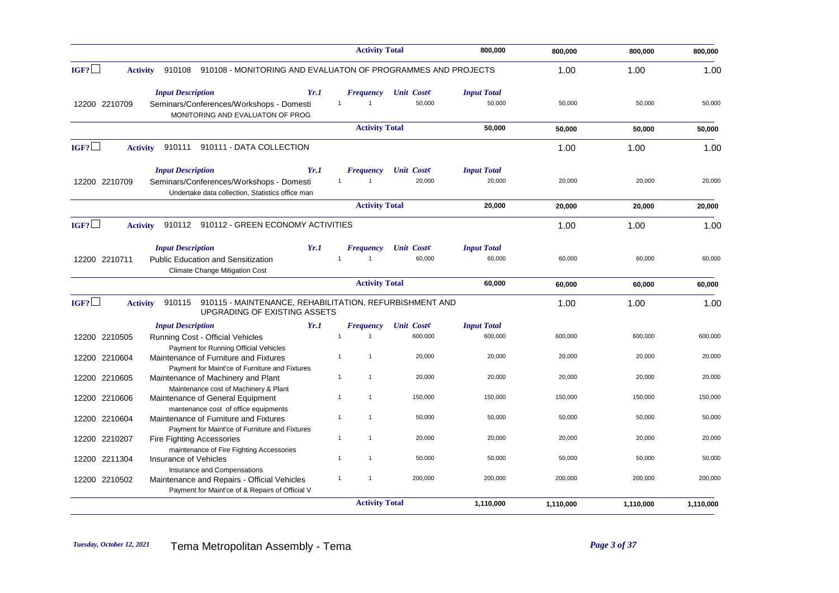|                                                                                                                                                | <b>Activity Total</b>                       |                             | 800,000            | 800,000   | 800,000   | 800,000   |
|------------------------------------------------------------------------------------------------------------------------------------------------|---------------------------------------------|-----------------------------|--------------------|-----------|-----------|-----------|
| IGF?<br>910108 - MONITORING AND EVALUATON OF PROGRAMMES AND PROJECTS<br><b>Activity</b><br>910108                                              |                                             |                             |                    | 1.00      | 1.00      | 1.00      |
| <b>Input Description</b><br>Yr.1                                                                                                               | Frequency<br>$\mathbf{1}$<br>$\overline{1}$ | <b>Unit Coste</b><br>50.000 | <b>Input Total</b> |           | 50.000    |           |
| 12200 2210709<br>Seminars/Conferences/Workshops - Domesti<br>MONITORING AND EVALUATON OF PROG                                                  |                                             |                             | 50,000             | 50,000    |           | 50,000    |
|                                                                                                                                                | <b>Activity Total</b>                       |                             | 50,000             | 50,000    | 50,000    | 50,000    |
| IGF?<br>910111<br>910111 - DATA COLLECTION<br><b>Activity</b>                                                                                  |                                             |                             |                    | 1.00      | 1.00      | 1.00      |
| <b>Input Description</b><br>Yr.1                                                                                                               | <b>Frequency</b>                            | Unit Coste                  | <b>Input Total</b> |           |           |           |
| 12200 2210709<br>Seminars/Conferences/Workshops - Domesti<br>Undertake data collection. Statistics office man                                  | $\mathbf{1}$<br>$\mathbf{1}$                | 20,000                      | 20,000             | 20,000    | 20,000    | 20,000    |
|                                                                                                                                                | <b>Activity Total</b>                       |                             | 20,000             | 20,000    | 20,000    | 20,000    |
| IGF?<br>910112 910112 - GREEN ECONOMY ACTIVITIES<br><b>Activity</b>                                                                            |                                             |                             |                    | 1.00      | 1.00      | 1.00      |
| <b>Input Description</b><br>Yr.1                                                                                                               | <b>Frequency</b>                            | Unit Coste                  | <b>Input Total</b> |           |           |           |
| 12200 2210711<br><b>Public Education and Sensitization</b><br><b>Climate Change Mitigation Cost</b>                                            | $\overline{1}$<br>$\mathbf{1}$              | 60,000                      | 60,000             | 60,000    | 60,000    | 60,000    |
|                                                                                                                                                | <b>Activity Total</b>                       |                             | 60,000             | 60,000    | 60,000    | 60,000    |
| IGF?<br>910115 - MAINTENANCE, REHABILITATION, REFURBISHMENT AND<br><b>Activity</b><br>910115<br>UPGRADING OF EXISTING ASSETS                   |                                             |                             |                    | 1.00      | 1.00      | 1.00      |
| Yr.1<br><b>Input Description</b>                                                                                                               | <b>Frequency</b>                            | <b>Unit Coste</b>           | <b>Input Total</b> |           |           |           |
| 12200 2210505<br><b>Running Cost - Official Vehicles</b><br>Payment for Running Official Vehicles                                              | $\mathbf{1}$<br>$\overline{1}$              | 600,000                     | 600,000            | 600,000   | 600,000   | 600,000   |
| 12200 2210604<br>Maintenance of Furniture and Fixtures                                                                                         | $\mathbf{1}$<br>$\mathbf{1}$                | 20,000                      | 20,000             | 20,000    | 20,000    | 20,000    |
| Payment for Maint'ce of Furniture and Fixtures<br>12200 2210605<br>Maintenance of Machinery and Plant                                          | $\mathbf{1}$<br>$\mathbf{1}$                | 20,000                      | 20,000             | 20,000    | 20,000    | 20.000    |
| Maintenance cost of Machinery & Plant<br>12200 2210606<br>Maintenance of General Equipment                                                     | $\mathbf{1}$<br>1                           | 150,000                     | 150,000            | 150,000   | 150,000   | 150,000   |
| mantenance cost of office equipments<br>12200 2210604<br>Maintenance of Furniture and Fixtures                                                 | $\mathbf{1}$<br>$\mathbf{1}$                | 50,000                      | 50,000             | 50,000    | 50,000    | 50,000    |
| Payment for Maint'ce of Furniture and Fixtures<br>12200 2210207<br><b>Fire Fighting Accessories</b>                                            | $\mathbf{1}$<br>$\overline{1}$              | 20,000                      | 20,000             | 20,000    | 20,000    | 20,000    |
| maintenance of Fire Fighting Accessories<br>12200 2211304<br>Insurance of Vehicles                                                             | $\mathbf{1}$<br>$\mathbf{1}$                | 50,000                      | 50,000             | 50,000    | 50,000    | 50,000    |
| Insurance and Compensations<br>12200 2210502<br>Maintenance and Repairs - Official Vehicles<br>Payment for Maint'ce of & Repairs of Official V | $\mathbf{1}$<br>$\mathbf{1}$                | 200,000                     | 200,000            | 200,000   | 200,000   | 200,000   |
|                                                                                                                                                | <b>Activity Total</b>                       |                             | 1,110,000          | 1,110,000 | 1,110,000 | 1,110,000 |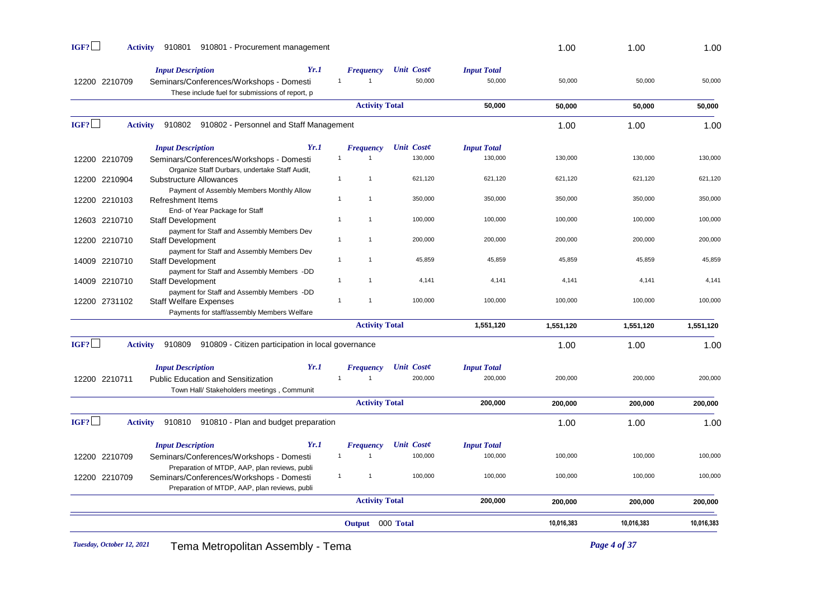| IGF?          | 910801<br>910801 - Procurement management<br><b>Activity</b>                                                                    |                                    |                             |                              | 1.00       | 1.00       | 1.00       |
|---------------|---------------------------------------------------------------------------------------------------------------------------------|------------------------------------|-----------------------------|------------------------------|------------|------------|------------|
| 12200 2210709 | Yr.1<br><b>Input Description</b><br>Seminars/Conferences/Workshops - Domesti<br>These include fuel for submissions of report, p | <b>Frequency</b><br>$\overline{1}$ | <b>Unit Coste</b><br>50,000 | <b>Input Total</b><br>50,000 | 50,000     | 50,000     | 50,000     |
|               |                                                                                                                                 | <b>Activity Total</b>              |                             | 50,000                       | 50,000     | 50,000     | 50,000     |
| IGF?          | <b>Activity</b><br>910802 910802 - Personnel and Staff Management                                                               |                                    |                             |                              | 1.00       | 1.00       | 1.00       |
|               | Yr.1<br><b>Input Description</b>                                                                                                | <b>Frequency</b>                   | <b>Unit Coste</b>           | <b>Input Total</b>           |            |            |            |
| 12200 2210709 | Seminars/Conferences/Workshops - Domesti<br>Organize Staff Durbars, undertake Staff Audit,                                      | $\mathbf{1}$<br>$\mathbf{1}$       | 130,000                     | 130,000                      | 130,000    | 130,000    | 130,000    |
| 12200 2210904 | Substructure Allowances<br>Payment of Assembly Members Monthly Allow                                                            | $\mathbf{1}$<br>$\mathbf{1}$       | 621,120                     | 621,120                      | 621,120    | 621,120    | 621,120    |
| 12200 2210103 | <b>Refreshment Items</b><br>End- of Year Package for Staff                                                                      | $\mathbf{1}$<br>$\mathbf{1}$       | 350,000                     | 350,000                      | 350,000    | 350,000    | 350,000    |
| 12603 2210710 | <b>Staff Development</b><br>payment for Staff and Assembly Members Dev                                                          | $\mathbf{1}$<br>$\mathbf{1}$       | 100,000                     | 100,000                      | 100,000    | 100,000    | 100,000    |
| 12200 2210710 | <b>Staff Development</b><br>payment for Staff and Assembly Members Dev                                                          | $\mathbf{1}$<br>$\mathbf{1}$       | 200,000                     | 200,000                      | 200,000    | 200,000    | 200,000    |
| 14009 2210710 | <b>Staff Development</b><br>payment for Staff and Assembly Members -DD                                                          | $\overline{1}$<br>$\mathbf{1}$     | 45,859                      | 45,859                       | 45,859     | 45,859     | 45,859     |
| 14009 2210710 | <b>Staff Development</b><br>payment for Staff and Assembly Members -DD                                                          | $\mathbf{1}$<br>$\mathbf{1}$       | 4,141                       | 4,141                        | 4,141      | 4,141      | 4,141      |
| 12200 2731102 | <b>Staff Welfare Expenses</b><br>Payments for staff/assembly Members Welfare                                                    | $\overline{1}$<br>$\mathbf{1}$     | 100,000                     | 100,000                      | 100,000    | 100,000    | 100,000    |
|               |                                                                                                                                 | <b>Activity Total</b>              |                             | 1,551,120                    | 1,551,120  | 1,551,120  | 1,551,120  |
| IGF?          | <b>Activity</b><br>910809<br>910809 - Citizen participation in local governance                                                 |                                    |                             |                              | 1.00       | 1.00       | 1.00       |
|               | <b>Input Description</b><br>Yr.1                                                                                                | <b>Frequency</b>                   | <b>Unit Coste</b>           | <b>Input Total</b>           |            |            |            |
| 12200 2210711 | Public Education and Sensitization<br>Town Hall/ Stakeholders meetings, Communit                                                | $\mathbf{1}$<br>$\mathbf{1}$       | 200,000                     | 200,000                      | 200,000    | 200,000    | 200,000    |
|               |                                                                                                                                 | <b>Activity Total</b>              |                             | 200,000                      | 200,000    | 200,000    | 200,000    |
| IGF?          | 910810 910810 - Plan and budget preparation<br><b>Activity</b>                                                                  |                                    |                             |                              | 1.00       | 1.00       | 1.00       |
|               | Yr.1<br><b>Input Description</b>                                                                                                | <b>Frequency</b>                   | <b>Unit Coste</b>           | <b>Input Total</b>           |            |            |            |
| 12200 2210709 | Seminars/Conferences/Workshops - Domesti<br>Preparation of MTDP, AAP, plan reviews, publi                                       | $\mathbf{1}$<br>$\mathbf{1}$       | 100,000                     | 100,000                      | 100,000    | 100,000    | 100,000    |
| 12200 2210709 | Seminars/Conferences/Workshops - Domesti<br>Preparation of MTDP, AAP, plan reviews, publi                                       | $\mathbf{1}$<br>$\mathbf{1}$       | 100,000                     | 100,000                      | 100,000    | 100,000    | 100,000    |
|               |                                                                                                                                 | <b>Activity Total</b>              |                             | 200,000                      | 200,000    | 200,000    | 200,000    |
|               |                                                                                                                                 | Output 000 Total                   |                             |                              | 10,016,383 | 10,016,383 | 10,016,383 |
|               |                                                                                                                                 |                                    |                             |                              |            |            |            |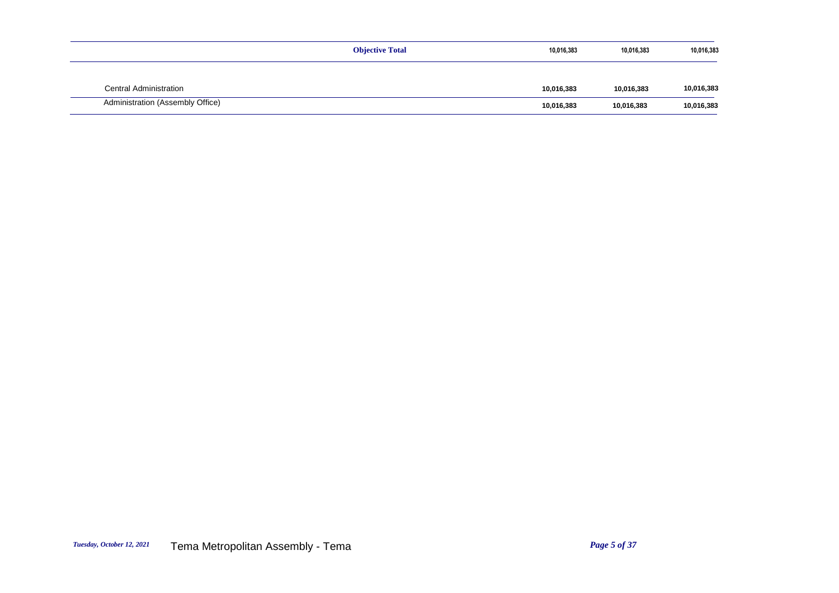|                                  | <b>Objective Total</b> | 10,016,383 | 10,016,383 | 10,016,383 |
|----------------------------------|------------------------|------------|------------|------------|
|                                  |                        |            |            |            |
| <b>Central Administration</b>    |                        | 10,016,383 | 10,016,383 | 10,016,383 |
| Administration (Assembly Office) |                        | 10,016,383 | 10,016,383 | 10,016,383 |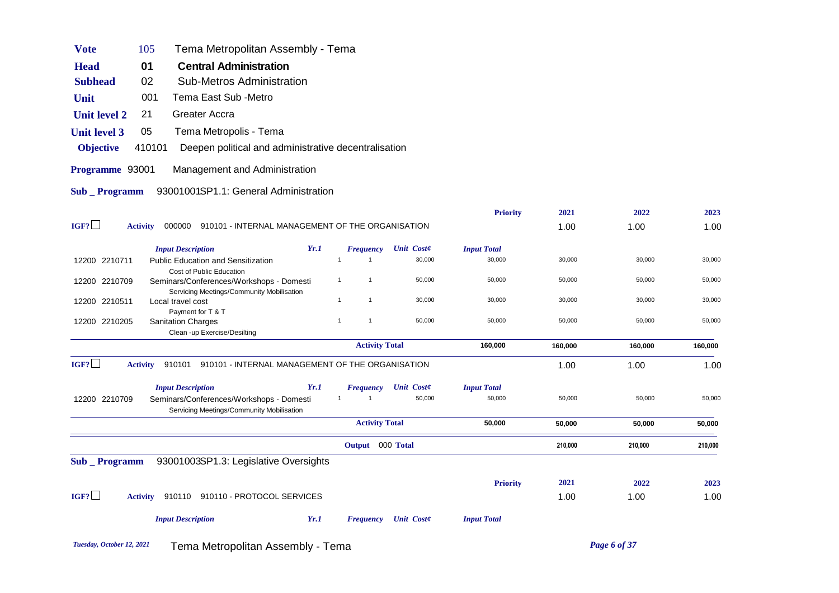| <b>Vote</b>         | Tema Metropolitan Assembly - Tema<br>105                                              |      |                |                       |                             |                    |         |         |         |
|---------------------|---------------------------------------------------------------------------------------|------|----------------|-----------------------|-----------------------------|--------------------|---------|---------|---------|
| <b>Head</b>         | <b>Central Administration</b><br>01                                                   |      |                |                       |                             |                    |         |         |         |
| <b>Subhead</b>      | 02<br><b>Sub-Metros Administration</b>                                                |      |                |                       |                             |                    |         |         |         |
| Unit                | Tema East Sub -Metro<br>001                                                           |      |                |                       |                             |                    |         |         |         |
| <b>Unit level 2</b> | <b>Greater Accra</b><br>21                                                            |      |                |                       |                             |                    |         |         |         |
| <b>Unit level 3</b> | 05<br>Tema Metropolis - Tema                                                          |      |                |                       |                             |                    |         |         |         |
| <b>Objective</b>    | 410101<br>Deepen political and administrative decentralisation                        |      |                |                       |                             |                    |         |         |         |
| Programme 93001     | Management and Administration                                                         |      |                |                       |                             |                    |         |         |         |
| Sub _ Programm      | 93001001SP1.1: General Administration                                                 |      |                |                       |                             |                    |         |         |         |
|                     |                                                                                       |      |                |                       |                             | <b>Priority</b>    | 2021    | 2022    | 2023    |
| IGF?                | 000000 910101 - INTERNAL MANAGEMENT OF THE ORGANISATION<br><b>Activity</b>            |      |                |                       |                             |                    | 1.00    | 1.00    | 1.00    |
|                     | <b>Input Description</b>                                                              | Yr.1 |                | Frequency             | <b>Unit Coste</b>           | <b>Input Total</b> |         |         |         |
| 12200 2210711       | <b>Public Education and Sensitization</b>                                             |      | $\overline{1}$ | $\overline{1}$        | 30,000                      | 30,000             | 30,000  | 30,000  | 30,000  |
| 12200 2210709       | Cost of Public Education<br>Seminars/Conferences/Workshops - Domesti                  |      | $\mathbf{1}$   | $\overline{1}$        | 50,000                      | 50,000             | 50,000  | 50,000  | 50,000  |
| 12200 2210511       | Servicing Meetings/Community Mobilisation<br>Local travel cost                        |      | $\mathbf{1}$   | $\overline{1}$        | 30,000                      | 30,000             | 30,000  | 30,000  | 30,000  |
|                     | Payment for T & T                                                                     |      |                |                       |                             |                    |         |         |         |
| 12200 2210205       | <b>Sanitation Charges</b><br>Clean -up Exercise/Desilting                             |      | $\overline{1}$ | $\overline{1}$        | 50,000                      | 50,000             | 50,000  | 50,000  | 50,000  |
|                     |                                                                                       |      |                | <b>Activity Total</b> |                             | 160,000            | 160,000 | 160,000 | 160,000 |
| IGF?                | 910101 910101 - INTERNAL MANAGEMENT OF THE ORGANISATION<br><b>Activity</b>            |      |                |                       |                             |                    | 1.00    | 1.00    | 1.00    |
|                     | <b>Input Description</b>                                                              | Yr.1 |                | Frequency             | Unit Coste                  | <b>Input Total</b> |         |         |         |
| 12200 2210709       | Seminars/Conferences/Workshops - Domesti<br>Servicing Meetings/Community Mobilisation |      | $\mathbf{1}$   | $\overline{1}$        | 50,000                      | 50,000             | 50,000  | 50,000  | 50,000  |
|                     |                                                                                       |      |                | <b>Activity Total</b> |                             | 50,000             | 50,000  | 50,000  | 50,000  |
|                     |                                                                                       |      |                | Output 000 Total      |                             |                    | 210,000 | 210,000 | 210,000 |
| Sub _ Programm      | 93001003SP1.3: Legislative Oversights                                                 |      |                |                       |                             |                    |         |         |         |
|                     |                                                                                       |      |                |                       |                             | <b>Priority</b>    | 2021    | 2022    | 2023    |
| IGF?                | 910110 910110 - PROTOCOL SERVICES<br><b>Activity</b>                                  |      |                |                       |                             |                    | 1.00    | 1.00    | 1.00    |
|                     | <b>Input Description</b>                                                              | Yr.1 |                |                       | <b>Frequency</b> Unit Coste | <b>Input Total</b> |         |         |         |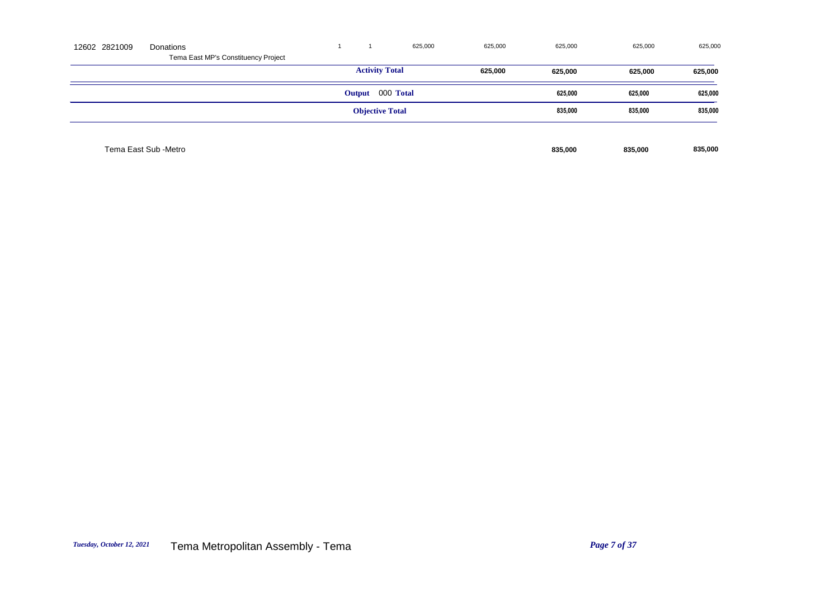| 12602 2821009 | Donations                           |  |                       | 625,000                | 625,000 | 625,000 | 625,000 | 625,000 |
|---------------|-------------------------------------|--|-----------------------|------------------------|---------|---------|---------|---------|
|               | Tema East MP's Constituency Project |  |                       |                        |         |         |         |         |
|               |                                     |  | <b>Activity Total</b> |                        | 625,000 | 625,000 | 625,000 | 625,000 |
|               |                                     |  | Output 000 Total      |                        |         | 625,000 | 625,000 | 625,000 |
|               |                                     |  |                       | <b>Objective Total</b> |         | 835,000 | 835,000 | 835,000 |
|               |                                     |  |                       |                        |         |         |         |         |
|               | Tema East Sub -Metro                |  |                       |                        |         | 835,000 | 835,000 | 835,000 |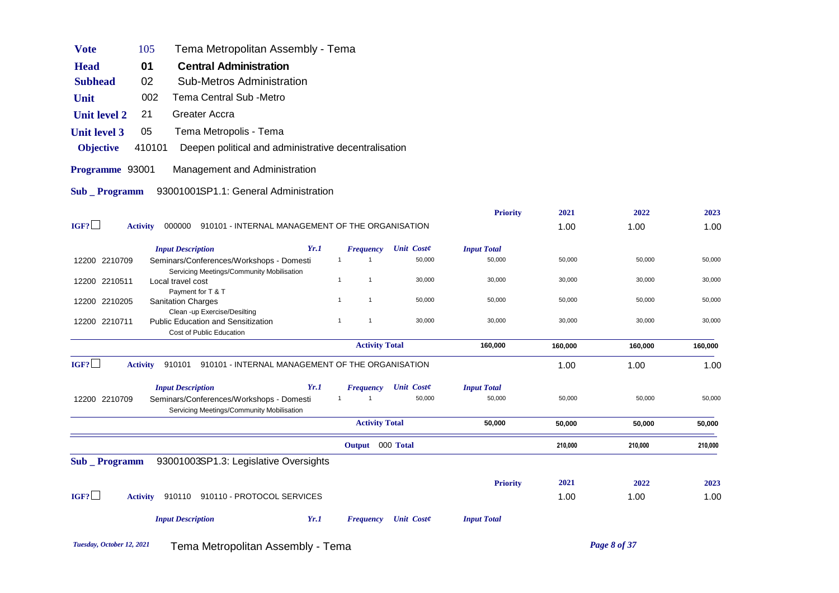| <b>Vote</b>         | 105             | Tema Metropolitan Assembly - Tema                                                     |      |                              |                   |                    |         |         |         |
|---------------------|-----------------|---------------------------------------------------------------------------------------|------|------------------------------|-------------------|--------------------|---------|---------|---------|
| <b>Head</b>         | 01              | <b>Central Administration</b>                                                         |      |                              |                   |                    |         |         |         |
| <b>Subhead</b>      | 02              | <b>Sub-Metros Administration</b>                                                      |      |                              |                   |                    |         |         |         |
| Unit                | 002             | Tema Central Sub -Metro                                                               |      |                              |                   |                    |         |         |         |
| <b>Unit level 2</b> | 21              | Greater Accra                                                                         |      |                              |                   |                    |         |         |         |
| <b>Unit level 3</b> | 05              | Tema Metropolis - Tema                                                                |      |                              |                   |                    |         |         |         |
| <b>Objective</b>    | 410101          | Deepen political and administrative decentralisation                                  |      |                              |                   |                    |         |         |         |
| Programme 93001     |                 | Management and Administration                                                         |      |                              |                   |                    |         |         |         |
| <b>Sub</b> Programm |                 | 93001001SP1.1: General Administration                                                 |      |                              |                   |                    |         |         |         |
|                     |                 |                                                                                       |      |                              |                   | <b>Priority</b>    | 2021    | 2022    | 2023    |
| IGF?                | <b>Activity</b> | 000000 910101 - INTERNAL MANAGEMENT OF THE ORGANISATION                               |      |                              |                   |                    | 1.00    | 1.00    | 1.00    |
|                     |                 | <b>Input Description</b>                                                              | Yr.1 | <b>Frequency</b>             | <b>Unit Coste</b> | <b>Input Total</b> |         |         |         |
| 12200 2210709       |                 | Seminars/Conferences/Workshops - Domesti                                              |      | $\mathbf 1$<br>-1            | 50,000            | 50,000             | 50,000  | 50,000  | 50,000  |
| 12200 2210511       |                 | Servicing Meetings/Community Mobilisation<br>Local travel cost                        |      | $\mathbf{1}$<br>$\mathbf{1}$ | 30,000            | 30,000             | 30,000  | 30,000  | 30,000  |
| 12200 2210205       |                 | Payment for T & T<br><b>Sanitation Charges</b>                                        |      | $\mathbf{1}$<br>$\mathbf{1}$ | 50,000            | 50,000             | 50,000  | 50,000  | 50,000  |
|                     |                 | Clean -up Exercise/Desilting                                                          |      |                              |                   |                    |         |         |         |
| 12200 2210711       |                 | <b>Public Education and Sensitization</b><br>Cost of Public Education                 |      | $\mathbf{1}$<br>$\mathbf{1}$ | 30,000            | 30,000             | 30,000  | 30,000  | 30,000  |
|                     |                 |                                                                                       |      | <b>Activity Total</b>        |                   | 160,000            | 160,000 | 160,000 | 160,000 |
| IGF?                | <b>Activity</b> | 910101<br>910101 - INTERNAL MANAGEMENT OF THE ORGANISATION                            |      |                              |                   |                    | 1.00    | 1.00    | 1.00    |
|                     |                 | <b>Input Description</b>                                                              | Yr.1 | <b>Frequency</b>             | <b>Unit Coste</b> | <b>Input Total</b> |         |         |         |
| 12200 2210709       |                 | Seminars/Conferences/Workshops - Domesti<br>Servicing Meetings/Community Mobilisation |      | $\overline{1}$               | 50,000            | 50,000             | 50,000  | 50,000  | 50,000  |
|                     |                 |                                                                                       |      | <b>Activity Total</b>        |                   | 50,000             | 50,000  | 50,000  | 50,000  |
|                     |                 |                                                                                       |      | Output 000 Total             |                   |                    | 210,000 | 210,000 | 210,000 |
| Sub _ Programm      |                 | 93001003SP1.3: Legislative Oversights                                                 |      |                              |                   |                    |         |         |         |
|                     |                 |                                                                                       |      |                              |                   | <b>Priority</b>    | 2021    | 2022    | 2023    |
| IGF?                | <b>Activity</b> | 910110 910110 - PROTOCOL SERVICES                                                     |      |                              |                   |                    | 1.00    | 1.00    | 1.00    |
|                     |                 | <b>Input Description</b>                                                              | Yr.1 | <b>Frequency</b>             | Unit Coste        | <b>Input Total</b> |         |         |         |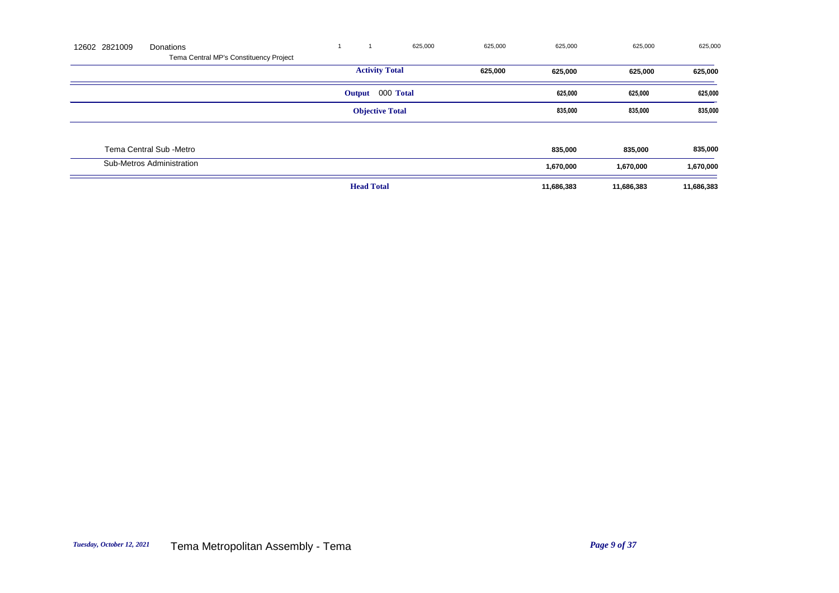| 12602 2821009 | Donations                              |                        | 625,000 | 625,000 | 625,000    | 625,000    | 625,000    |
|---------------|----------------------------------------|------------------------|---------|---------|------------|------------|------------|
|               | Tema Central MP's Constituency Project |                        |         |         |            |            |            |
|               |                                        | <b>Activity Total</b>  |         | 625,000 | 625,000    | 625,000    | 625,000    |
|               |                                        | Output 000 Total       |         |         | 625,000    | 625,000    | 625,000    |
|               |                                        | <b>Objective Total</b> |         |         | 835,000    | 835,000    | 835,000    |
|               |                                        |                        |         |         |            |            |            |
|               | Tema Central Sub -Metro                |                        |         |         | 835,000    | 835,000    | 835,000    |
|               | Sub-Metros Administration              |                        |         |         | 1,670,000  | 1,670,000  | 1,670,000  |
|               |                                        | <b>Head Total</b>      |         |         | 11,686,383 | 11,686,383 | 11,686,383 |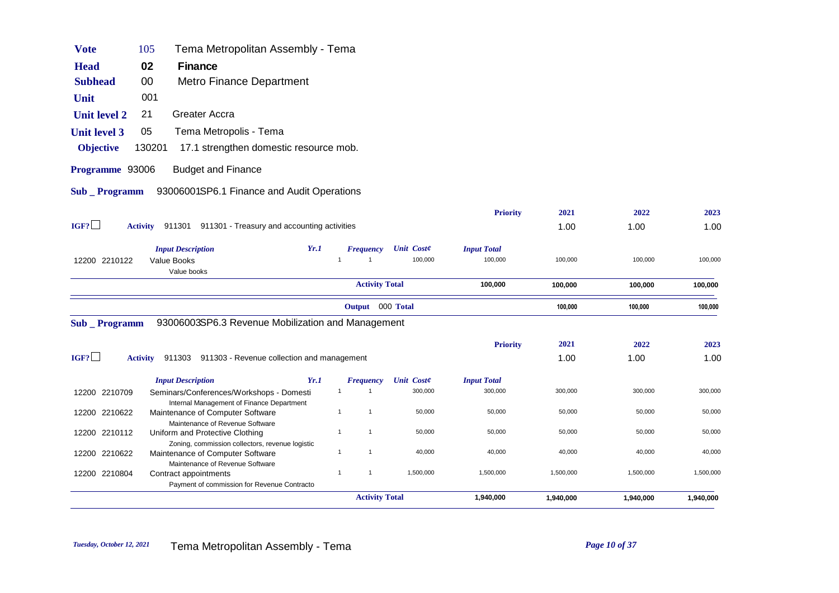| <b>Vote</b>         | 105    | Tema Metropolitan Assembly - Tema                                                     |      |                                       |                              |                               |           |           |           |
|---------------------|--------|---------------------------------------------------------------------------------------|------|---------------------------------------|------------------------------|-------------------------------|-----------|-----------|-----------|
| <b>Head</b>         | 02     | Finance                                                                               |      |                                       |                              |                               |           |           |           |
| <b>Subhead</b>      | 00     | Metro Finance Department                                                              |      |                                       |                              |                               |           |           |           |
| Unit                | 001    |                                                                                       |      |                                       |                              |                               |           |           |           |
| <b>Unit level 2</b> | 21     | Greater Accra                                                                         |      |                                       |                              |                               |           |           |           |
| <b>Unit level 3</b> | 05     | Tema Metropolis - Tema                                                                |      |                                       |                              |                               |           |           |           |
| <b>Objective</b>    | 130201 | 17.1 strengthen domestic resource mob.                                                |      |                                       |                              |                               |           |           |           |
| Programme 93006     |        | <b>Budget and Finance</b>                                                             |      |                                       |                              |                               |           |           |           |
| <b>Sub</b> Programm |        | 93006001SP6.1 Finance and Audit Operations                                            |      |                                       |                              |                               |           |           |           |
|                     |        |                                                                                       |      |                                       |                              | <b>Priority</b>               | 2021      | 2022      | 2023      |
| IGF?                |        | Activity 911301 911301 - Treasury and accounting activities                           |      |                                       |                              |                               | 1.00      | 1.00      | 1.00      |
|                     |        |                                                                                       |      |                                       |                              |                               |           |           |           |
| 12200 2210122       |        | <b>Input Description</b><br><b>Value Books</b><br>Value books                         | Yr.1 | <b>Frequency</b><br>1<br>$\mathbf{1}$ | <b>Unit Coste</b><br>100,000 | <b>Input Total</b><br>100,000 | 100,000   | 100,000   | 100,000   |
|                     |        |                                                                                       |      | <b>Activity Total</b>                 |                              | 100,000                       | 100,000   | 100,000   | 100,000   |
|                     |        |                                                                                       |      | Output 000 Total                      |                              |                               | 100,000   | 100,000   | 100,000   |
| <b>Sub</b> Programm |        | 93006003SP6.3 Revenue Mobilization and Management                                     |      |                                       |                              |                               |           |           |           |
|                     |        |                                                                                       |      |                                       |                              | <b>Priority</b>               | 2021      | 2022      | 2023      |
| IGF?                |        | Activity 911303 911303 - Revenue collection and management                            |      |                                       |                              |                               | 1.00      | 1.00      | 1.00      |
|                     |        | <b>Input Description</b>                                                              | Yr.1 | <b>Frequency</b>                      | <b>Unit Coste</b>            | <b>Input Total</b>            |           |           |           |
| 12200 2210709       |        | Seminars/Conferences/Workshops - Domesti<br>Internal Management of Finance Department |      | $\overline{1}$<br>$\mathbf{1}$        | 300,000                      | 300,000                       | 300,000   | 300,000   | 300,000   |
| 12200 2210622       |        | Maintenance of Computer Software                                                      |      | $\mathbf{1}$<br>$\mathbf{1}$          | 50,000                       | 50,000                        | 50,000    | 50,000    | 50,000    |
| 12200 2210112       |        | Maintenance of Revenue Software<br>Uniform and Protective Clothing                    |      | $\mathbf{1}$<br>$\mathbf{1}$          | 50,000                       | 50,000                        | 50,000    | 50,000    | 50,000    |
| 12200 2210622       |        | Zoning, commission collectors, revenue logistic<br>Maintenance of Computer Software   |      | $\mathbf{1}$<br>$\mathbf{1}$          | 40,000                       | 40,000                        | 40,000    | 40,000    | 40,000    |
| 12200 2210804       |        | Maintenance of Revenue Software<br>Contract appointments                              |      | $\mathbf{1}$<br>$\mathbf{1}$          | 1,500,000                    | 1,500,000                     | 1,500,000 | 1,500,000 | 1,500,000 |
|                     |        |                                                                                       |      |                                       |                              |                               |           |           |           |
|                     |        | Payment of commission for Revenue Contracto                                           |      | <b>Activity Total</b>                 |                              |                               |           |           |           |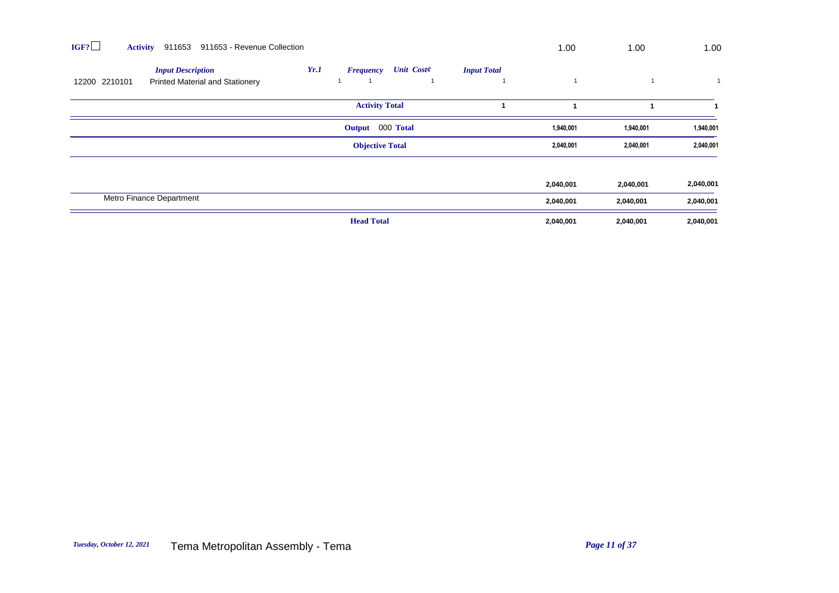| IGF?<br>911653<br><b>Activity</b>                                                   | 911653 - Revenue Collection                                         | 1.00      | 1.00      | 1.00      |
|-------------------------------------------------------------------------------------|---------------------------------------------------------------------|-----------|-----------|-----------|
| <b>Input Description</b><br>12200 2210101<br><b>Printed Material and Stationery</b> | Yr.1<br><b>Unit Coste</b><br><b>Input Total</b><br><b>Frequency</b> |           |           |           |
|                                                                                     | <b>Activity Total</b>                                               |           |           |           |
|                                                                                     | Output 000 Total                                                    | 1,940,001 | 1,940,001 | 1,940,001 |
|                                                                                     | <b>Objective Total</b>                                              | 2,040,001 | 2,040,001 | 2,040,001 |
|                                                                                     |                                                                     |           |           |           |
|                                                                                     |                                                                     | 2,040,001 | 2,040,001 | 2,040,001 |
| Metro Finance Department                                                            |                                                                     | 2,040,001 | 2,040,001 | 2,040,001 |
|                                                                                     | <b>Head Total</b>                                                   | 2,040,001 | 2,040,001 | 2,040,001 |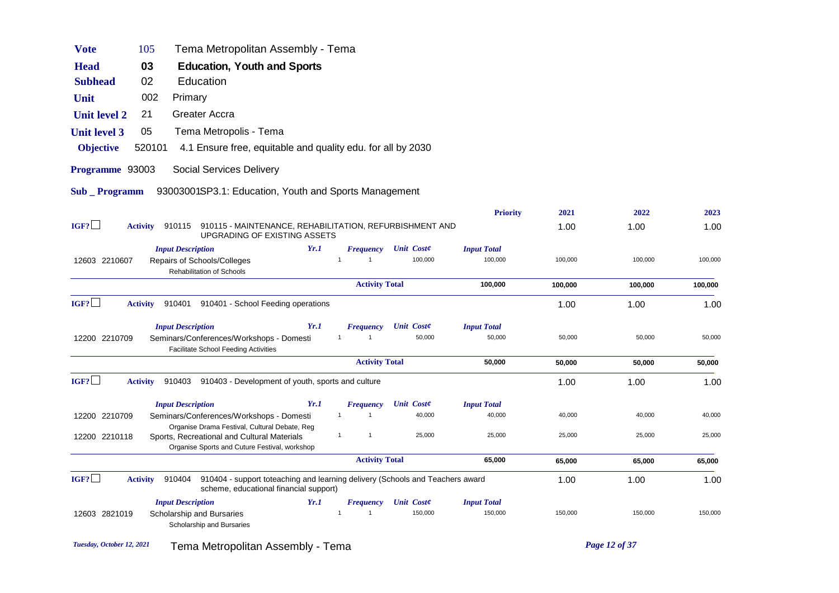| Tema Metropolitan Assembly - Tema<br>105<br><b>Vote</b>                                                                                                                                                                          |         |         |
|----------------------------------------------------------------------------------------------------------------------------------------------------------------------------------------------------------------------------------|---------|---------|
| 03<br><b>Education, Youth and Sports</b><br><b>Head</b>                                                                                                                                                                          |         |         |
| <b>Subhead</b><br>02<br>Education                                                                                                                                                                                                |         |         |
| Unit<br>002<br>Primary                                                                                                                                                                                                           |         |         |
| Greater Accra<br><b>Unit level 2</b><br>21                                                                                                                                                                                       |         |         |
| 05<br>Tema Metropolis - Tema<br><b>Unit level 3</b>                                                                                                                                                                              |         |         |
| <b>Objective</b><br>520101<br>4.1 Ensure free, equitable and quality edu. for all by 2030                                                                                                                                        |         |         |
| Programme 93003<br><b>Social Services Delivery</b>                                                                                                                                                                               |         |         |
| 93003001SP3.1: Education, Youth and Sports Management<br>Sub _ Programm                                                                                                                                                          |         |         |
| <b>Priority</b><br>2021                                                                                                                                                                                                          | 2022    | 2023    |
| IGF?<br>910115 910115 - MAINTENANCE, REHABILITATION, REFURBISHMENT AND<br><b>Activity</b><br>1.00<br>UPGRADING OF EXISTING ASSETS                                                                                                | 1.00    | 1.00    |
| Yr.1<br><b>Input Total</b><br><b>Input Description</b><br><b>Unit Coste</b><br>Frequency                                                                                                                                         |         |         |
| $\mathbf{1}$<br>100,000<br>100,000<br>100,000<br>$\overline{1}$<br>12603 2210607<br>Repairs of Schools/Colleges<br>Rehabilitation of Schools                                                                                     | 100,000 | 100,000 |
| <b>Activity Total</b><br>100,000<br>100,000                                                                                                                                                                                      | 100,000 | 100,000 |
| IGF?<br>910401<br>910401 - School Feeding operations<br><b>Activity</b><br>1.00                                                                                                                                                  | 1.00    | 1.00    |
| <b>Input Description</b><br><b>Input Total</b><br>Yr.1<br><b>Unit Coste</b><br><b>Frequency</b>                                                                                                                                  |         |         |
| 50,000<br>50,000<br>50,000<br>12200 2210709<br>Seminars/Conferences/Workshops - Domesti<br>$\overline{1}$<br><b>Facilitate School Feeding Activities</b>                                                                         | 50,000  | 50,000  |
| <b>Activity Total</b><br>50,000<br>50,000                                                                                                                                                                                        | 50,000  | 50,000  |
| IGF?<br>910403 910403 - Development of youth, sports and culture<br>1.00<br><b>Activity</b>                                                                                                                                      | 1.00    | 1.00    |
| <b>Input Description</b><br>Yr.1<br><b>Unit Coste</b><br><b>Input Total</b><br><b>Frequency</b>                                                                                                                                  |         |         |
| $\overline{1}$<br>40,000<br>40,000<br>40,000<br>12200 2210709<br>Seminars/Conferences/Workshops - Domesti                                                                                                                        | 40,000  | 40,000  |
| Organise Drama Festival, Cultural Debate, Reg<br>25,000<br>25,000<br>25,000<br>$\overline{1}$<br>12200 2210118<br>Sports, Recreational and Cultural Materials<br>$\overline{1}$<br>Organise Sports and Cuture Festival, workshop | 25,000  | 25,000  |
| <b>Activity Total</b><br>65,000<br>65,000                                                                                                                                                                                        | 65,000  | 65,000  |
| IGF?<br>910404 - support toteaching and learning delivery (Schools and Teachers award<br>910404<br>1.00<br><b>Activity</b><br>scheme, educational financial support)                                                             | 1.00    | 1.00    |
| <b>Input Description</b><br>Yr.1<br><b>Unit Coste</b><br><b>Input Total</b><br>Frequency                                                                                                                                         |         |         |
| 150,000<br>150,000<br>150,000<br>$\overline{1}$<br>$\overline{1}$<br>12603 2821019<br>Scholarship and Bursaries<br>Scholarship and Bursaries                                                                                     | 150,000 | 150,000 |

1.00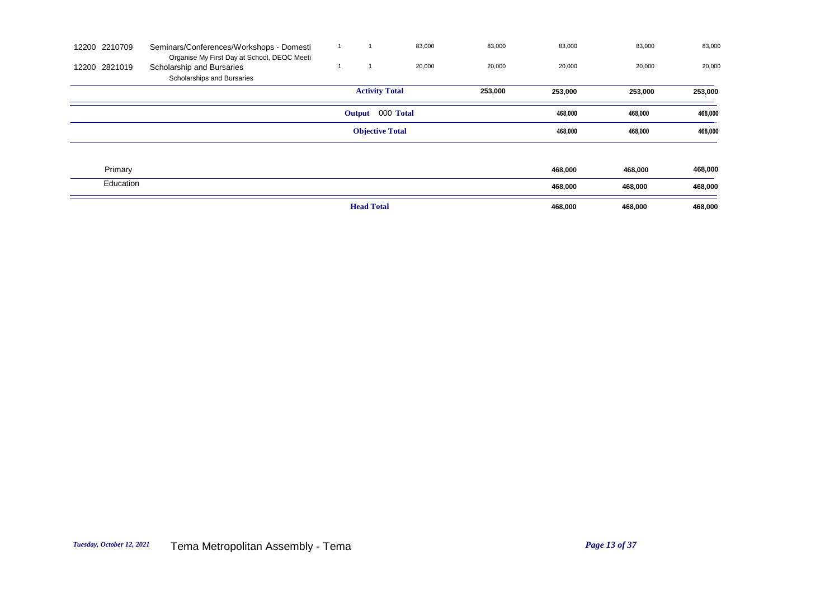| 12200 2210709 | Seminars/Conferences/Workshops - Domesti<br>Organise My First Day at School, DEOC Meeti |                        | 83,000 | 83,000  | 83,000  | 83,000  | 83,000  |
|---------------|-----------------------------------------------------------------------------------------|------------------------|--------|---------|---------|---------|---------|
| 12200 2821019 | Scholarship and Bursaries                                                               |                        | 20,000 | 20,000  | 20,000  | 20,000  | 20,000  |
|               | Scholarships and Bursaries                                                              |                        |        |         |         |         |         |
|               |                                                                                         | <b>Activity Total</b>  |        | 253,000 | 253,000 | 253,000 | 253,000 |
|               |                                                                                         | Output 000 Total       |        |         | 468,000 | 468,000 | 468,000 |
|               |                                                                                         | <b>Objective Total</b> |        |         | 468,000 | 468,000 | 468,000 |
|               |                                                                                         |                        |        |         |         |         |         |
| Primary       |                                                                                         |                        |        |         | 468,000 | 468,000 | 468,000 |
| Education     |                                                                                         |                        |        |         | 468,000 | 468,000 | 468,000 |
|               |                                                                                         | <b>Head Total</b>      |        |         | 468,000 | 468,000 | 468,000 |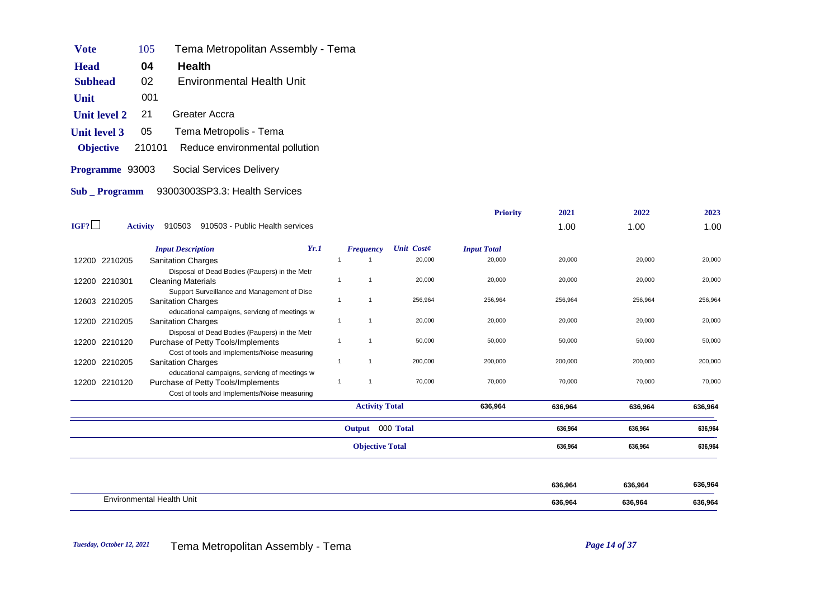| Vote                | 105    | Tema Metropolitan Assembly - Tema |
|---------------------|--------|-----------------------------------|
| <b>Head</b>         | 04     | Health                            |
| <b>Subhead</b>      | 02     | Environmental Health Unit         |
| Unit                | 001    |                                   |
| <b>Unit level 2</b> | 21     | Greater Accra                     |
| <b>Unit level 3</b> | 05     | Tema Metropolis - Tema            |
| <b>Objective</b>    | 210101 | Reduce environmental pollution    |
| Programme 93003     |        | Social Services Delivery          |
| Sub Programm        |        | 93003003SP3.3: Health Services    |
|                     |        |                                   |

|                         |                                                                                    |                |              |                        | <b>Priority</b>    | 2021    | 2022    | 2023    |
|-------------------------|------------------------------------------------------------------------------------|----------------|--------------|------------------------|--------------------|---------|---------|---------|
| IGF?<br><b>Activity</b> | 910503 910503 - Public Health services                                             |                |              |                        |                    | 1.00    | 1.00    | 1.00    |
|                         | <b>Input Description</b>                                                           | Yr.1           | Frequency    | <b>Unit Coste</b>      | <b>Input Total</b> |         |         |         |
| 12200 2210205           | <b>Sanitation Charges</b>                                                          |                |              | 20,000                 | 20,000             | 20,000  | 20,000  | 20,000  |
|                         | Disposal of Dead Bodies (Paupers) in the Metr                                      |                |              |                        |                    |         |         |         |
| 2210301<br>12200        | <b>Cleaning Materials</b>                                                          |                | -1           | 20,000                 | 20,000             | 20,000  | 20,000  | 20,000  |
|                         | Support Surveillance and Management of Dise                                        |                |              |                        |                    |         |         |         |
| 12603 2210205           | <b>Sanitation Charges</b>                                                          |                | $\mathbf{1}$ | 256,964                | 256,964            | 256,964 | 256,964 | 256,964 |
|                         | educational campaigns, servicng of meetings w                                      |                |              |                        |                    |         |         |         |
| 2210205<br>12200        | <b>Sanitation Charges</b>                                                          | $\overline{1}$ | $\mathbf{1}$ | 20,000                 | 20,000             | 20,000  | 20,000  | 20,000  |
|                         | Disposal of Dead Bodies (Paupers) in the Metr                                      |                |              |                        |                    |         |         |         |
| 12200 2210120           | Purchase of Petty Tools/Implements                                                 |                | $\mathbf{1}$ | 50,000                 | 50,000             | 50,000  | 50,000  | 50,000  |
|                         | Cost of tools and Implements/Noise measuring                                       | $\overline{1}$ | $\mathbf{1}$ | 200,000                | 200,000            | 200,000 | 200,000 | 200,000 |
| 2210205<br>12200        | <b>Sanitation Charges</b>                                                          |                |              |                        |                    |         |         |         |
| 12200 2210120           | educational campaigns, servicng of meetings w                                      | $\mathbf{1}$   | -1           | 70,000                 | 70,000             | 70,000  | 70,000  | 70,000  |
|                         | Purchase of Petty Tools/Implements<br>Cost of tools and Implements/Noise measuring |                |              |                        |                    |         |         |         |
|                         |                                                                                    |                |              |                        |                    |         |         |         |
|                         |                                                                                    |                |              | <b>Activity Total</b>  | 636,964            | 636,964 | 636,964 | 636,964 |
|                         |                                                                                    |                |              | Output 000 Total       |                    | 636,964 | 636,964 | 636,964 |
|                         |                                                                                    |                |              | <b>Objective Total</b> |                    | 636,964 | 636,964 | 636,964 |
|                         |                                                                                    |                |              |                        |                    |         |         |         |
|                         |                                                                                    |                |              |                        |                    | 636,964 | 636,964 | 636,964 |
|                         | <b>Environmental Health Unit</b>                                                   |                |              |                        |                    | 636,964 | 636,964 | 636,964 |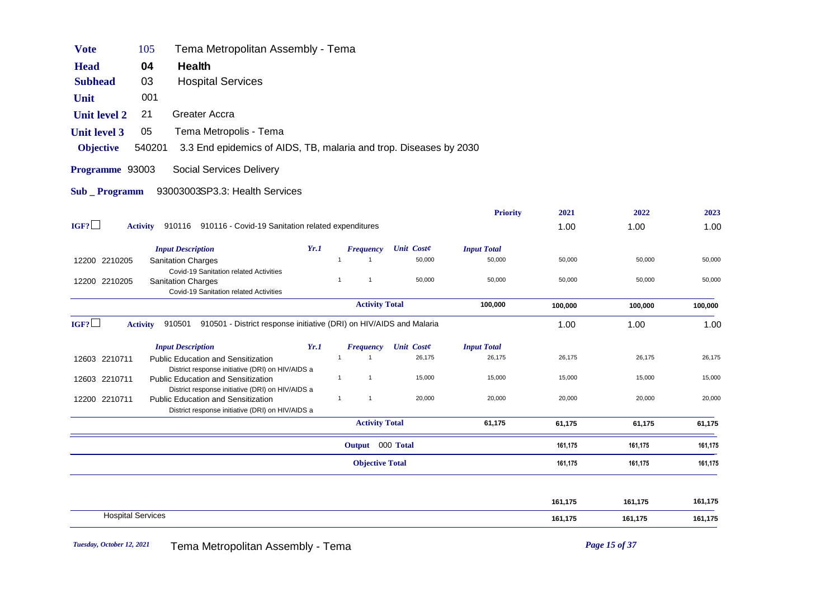| <b>Vote</b>           | 105                      | Tema Metropolitan Assembly - Tema                                                                             |      |                |                        |            |                    |         |         |         |
|-----------------------|--------------------------|---------------------------------------------------------------------------------------------------------------|------|----------------|------------------------|------------|--------------------|---------|---------|---------|
| <b>Head</b>           | 04                       | Health                                                                                                        |      |                |                        |            |                    |         |         |         |
| <b>Subhead</b>        | 03                       | <b>Hospital Services</b>                                                                                      |      |                |                        |            |                    |         |         |         |
| Unit                  | 001                      |                                                                                                               |      |                |                        |            |                    |         |         |         |
| <b>Unit level 2</b>   | 21                       | <b>Greater Accra</b>                                                                                          |      |                |                        |            |                    |         |         |         |
| <b>Unit level 3</b>   | 05                       | Tema Metropolis - Tema                                                                                        |      |                |                        |            |                    |         |         |         |
| <b>Objective</b>      | 540201                   | 3.3 End epidemics of AIDS, TB, malaria and trop. Diseases by 2030                                             |      |                |                        |            |                    |         |         |         |
| Programme 93003       |                          | Social Services Delivery                                                                                      |      |                |                        |            |                    |         |         |         |
| <b>Sub</b> _ Programm |                          | 93003003SP3.3: Health Services                                                                                |      |                |                        |            |                    |         |         |         |
|                       |                          |                                                                                                               |      |                |                        |            | <b>Priority</b>    | 2021    | 2022    | 2023    |
| IGF?                  | <b>Activity</b>          | 910116 910116 - Covid-19 Sanitation related expenditures                                                      |      |                |                        |            |                    | 1.00    | 1.00    | 1.00    |
|                       |                          | <b>Input Description</b>                                                                                      | Yr.1 |                | <b>Frequency</b>       | Unit Coste | <b>Input Total</b> |         |         |         |
| 12200 2210205         |                          | <b>Sanitation Charges</b>                                                                                     |      | 1              | 1                      | 50,000     | 50,000             | 50,000  | 50,000  | 50,000  |
| 12200 2210205         |                          | Covid-19 Sanitation related Activities<br><b>Sanitation Charges</b><br>Covid-19 Sanitation related Activities |      | $\overline{1}$ | $\mathbf{1}$           | 50,000     | 50,000             | 50,000  | 50,000  | 50,000  |
|                       |                          |                                                                                                               |      |                | <b>Activity Total</b>  |            | 100,000            | 100,000 | 100,000 | 100,000 |
| IGF?                  | <b>Activity</b>          | 910501<br>910501 - District response initiative (DRI) on HIV/AIDS and Malaria                                 |      |                |                        |            |                    | 1.00    | 1.00    | 1.00    |
|                       |                          | <b>Input Description</b>                                                                                      | Yr.1 |                | <b>Frequency</b>       | Unit Coste | <b>Input Total</b> |         |         |         |
| 12603 2210711         |                          | Public Education and Sensitization                                                                            |      | $\overline{1}$ | $\mathbf{1}$           | 26,175     | 26,175             | 26,175  | 26,175  | 26,175  |
| 12603 2210711         |                          | District response initiative (DRI) on HIV/AIDS a<br><b>Public Education and Sensitization</b>                 |      | $\mathbf{1}$   | $\overline{1}$         | 15,000     | 15,000             | 15,000  | 15,000  | 15,000  |
| 12200 2210711         |                          | District response initiative (DRI) on HIV/AIDS a<br>Public Education and Sensitization                        |      | $\mathbf{1}$   | $\mathbf{1}$           | 20,000     | 20,000             | 20,000  | 20,000  | 20,000  |
|                       |                          | District response initiative (DRI) on HIV/AIDS a                                                              |      |                |                        |            |                    |         |         |         |
|                       |                          |                                                                                                               |      |                | <b>Activity Total</b>  |            | 61,175             | 61,175  | 61,175  | 61,175  |
|                       |                          |                                                                                                               |      |                | Output 000 Total       |            |                    | 161,175 | 161,175 | 161,175 |
|                       |                          |                                                                                                               |      |                | <b>Objective Total</b> |            |                    | 161,175 | 161,175 | 161,175 |
|                       |                          |                                                                                                               |      |                |                        |            |                    | 161,175 | 161,175 | 161,175 |
|                       | <b>Hospital Services</b> |                                                                                                               |      |                |                        |            |                    | 161,175 | 161,175 | 161,175 |
|                       |                          |                                                                                                               |      |                |                        |            |                    |         |         |         |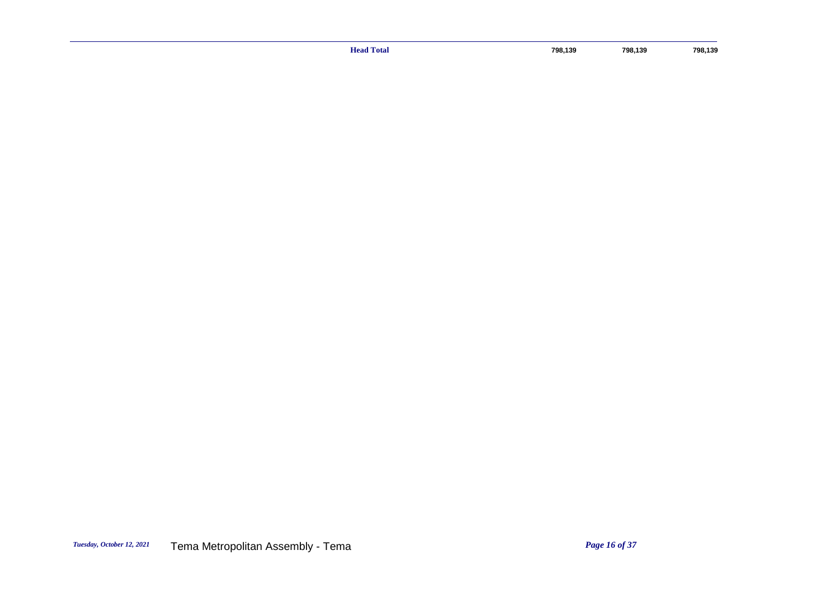**Head Total** 798,139 798,139 798,139 798,139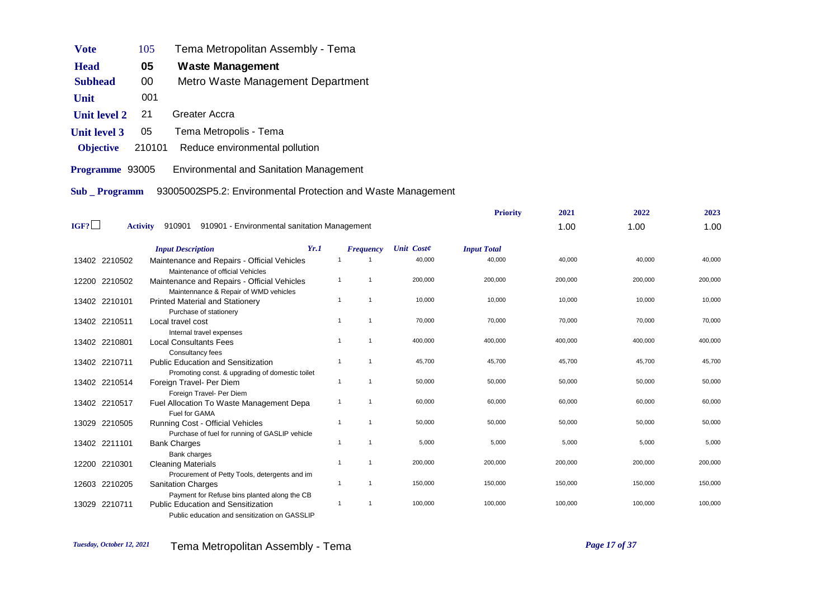| Vote                   | 105    | Tema Metropolitan Assembly - Tema              |
|------------------------|--------|------------------------------------------------|
| <b>Head</b>            | 05     | Waste Management                               |
| <b>Subhead</b>         | 00     | Metro Waste Management Department              |
| Unit                   | 001    |                                                |
| <b>Unit level 2</b>    | 21     | Greater Accra                                  |
| <b>Unit level 3</b>    | 05     | Tema Metropolis - Tema                         |
| <b>Objective</b>       | 210101 | Reduce environmental pollution                 |
| <b>Programme</b> 93005 |        | <b>Environmental and Sanitation Management</b> |

**Sub \_ Programm** 93005002SP5.2: Environmental Protection and Waste Management

|      |                 |                                                                                              |                |                  |                   | <b>Priority</b>    | 2021    | 2022    | 2023    |
|------|-----------------|----------------------------------------------------------------------------------------------|----------------|------------------|-------------------|--------------------|---------|---------|---------|
| IGF? | <b>Activity</b> | 910901<br>910901 - Environmental sanitation Management                                       |                |                  |                   |                    | 1.00    | 1.00    | 1.00    |
|      |                 | <b>Input Description</b>                                                                     | Yr.1           | <b>Frequency</b> | <b>Unit Coste</b> | <b>Input Total</b> |         |         |         |
|      | 13402 2210502   | Maintenance and Repairs - Official Vehicles<br>Maintenance of official Vehicles              | -1             |                  | 40,000            | 40,000             | 40,000  | 40,000  | 40,000  |
|      | 12200 2210502   | Maintenance and Repairs - Official Vehicles<br>Maintennance & Repair of WMD vehicles         | $\mathbf{1}$   | -1               | 200,000           | 200,000            | 200,000 | 200,000 | 200,000 |
|      | 13402 2210101   | <b>Printed Material and Stationery</b><br>Purchase of stationery                             | $\overline{1}$ | $\overline{1}$   | 10,000            | 10,000             | 10,000  | 10,000  | 10,000  |
|      | 13402 2210511   | Local travel cost<br>Internal travel expenses                                                | $\overline{1}$ | $\overline{1}$   | 70,000            | 70,000             | 70,000  | 70,000  | 70,000  |
|      | 13402 2210801   | <b>Local Consultants Fees</b><br>Consultancy fees                                            | -1             | -1               | 400,000           | 400,000            | 400,000 | 400,000 | 400,000 |
|      | 13402 2210711   | <b>Public Education and Sensitization</b><br>Promoting const. & upgrading of domestic toilet | $\overline{1}$ | $\overline{1}$   | 45,700            | 45,700             | 45,700  | 45,700  | 45,700  |
|      | 13402 2210514   | Foreign Travel- Per Diem<br>Foreign Travel- Per Diem                                         | $\mathbf{1}$   | $\overline{1}$   | 50,000            | 50,000             | 50,000  | 50,000  | 50,000  |
|      | 13402 2210517   | Fuel Allocation To Waste Management Depa<br>Fuel for GAMA                                    | $\mathbf{1}$   | -1               | 60,000            | 60,000             | 60,000  | 60,000  | 60,000  |
|      | 13029 2210505   | Running Cost - Official Vehicles<br>Purchase of fuel for running of GASLIP vehicle           | $\mathbf{1}$   | $\overline{1}$   | 50,000            | 50,000             | 50,000  | 50,000  | 50,000  |
|      | 13402 2211101   | <b>Bank Charges</b><br>Bank charges                                                          | -1             | $\mathbf{1}$     | 5,000             | 5,000              | 5,000   | 5,000   | 5,000   |
|      | 12200 2210301   | <b>Cleaning Materials</b><br>Procurement of Petty Tools, detergents and im                   | $\overline{1}$ | $\overline{1}$   | 200,000           | 200,000            | 200,000 | 200,000 | 200,000 |
|      | 12603 2210205   | <b>Sanitation Charges</b><br>Payment for Refuse bins planted along the CB                    | $\overline{1}$ | $\overline{1}$   | 150,000           | 150,000            | 150,000 | 150,000 | 150,000 |
|      | 13029 2210711   | <b>Public Education and Sensitization</b><br>Public education and sensitization on GASSLIP   | $\overline{1}$ |                  | 100,000           | 100,000            | 100,000 | 100,000 | 100,000 |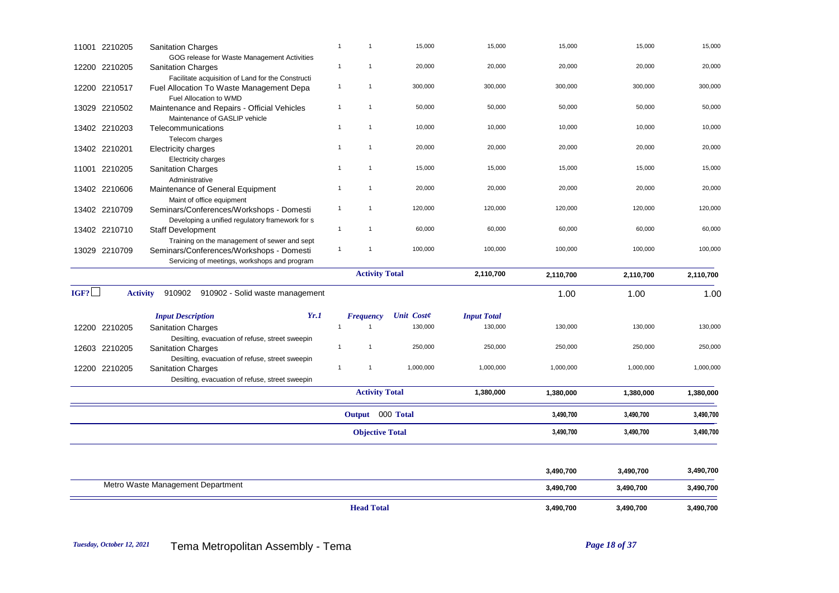|      | 11001 2210205 | <b>Sanitation Charges</b>                                                                                                       | $\mathbf{1}$<br>$\overline{1}$ | 15,000            | 15,000             | 15,000                 | 15,000                 | 15,000    |
|------|---------------|---------------------------------------------------------------------------------------------------------------------------------|--------------------------------|-------------------|--------------------|------------------------|------------------------|-----------|
|      | 12200 2210205 | GOG release for Waste Management Activities<br><b>Sanitation Charges</b>                                                        | $\overline{1}$<br>$\mathbf{1}$ | 20,000            | 20,000             | 20,000                 | 20,000                 | 20,000    |
|      | 12200 2210517 | Facilitate acquisition of Land for the Constructi<br>Fuel Allocation To Waste Management Depa                                   | $\mathbf{1}$<br>$\overline{1}$ | 300,000           | 300,000            | 300,000                | 300,000                | 300,000   |
|      | 13029 2210502 | Fuel Allocation to WMD<br>Maintenance and Repairs - Official Vehicles                                                           | $\mathbf{1}$<br>$\mathbf{1}$   | 50,000            | 50,000             | 50,000                 | 50,000                 | 50,000    |
|      | 13402 2210203 | Maintenance of GASLIP vehicle<br>Telecommunications<br>Telecom charges                                                          | $\mathbf{1}$<br>$\mathbf{1}$   | 10,000            | 10,000             | 10,000                 | 10,000                 | 10,000    |
|      | 13402 2210201 | Electricity charges<br><b>Electricity charges</b>                                                                               | $\mathbf{1}$<br>$\mathbf{1}$   | 20,000            | 20,000             | 20,000                 | 20,000                 | 20,000    |
|      | 11001 2210205 | <b>Sanitation Charges</b><br>Administrative                                                                                     | $\mathbf{1}$<br>$\mathbf{1}$   | 15,000            | 15,000             | 15,000                 | 15,000                 | 15,000    |
|      | 13402 2210606 | Maintenance of General Equipment<br>Maint of office equipment                                                                   | $\mathbf{1}$<br>$\mathbf{1}$   | 20,000            | 20,000             | 20,000                 | 20,000                 | 20,000    |
|      | 13402 2210709 | Seminars/Conferences/Workshops - Domesti<br>Developing a unified regulatory framework for s                                     | $\mathbf{1}$<br>$\mathbf{1}$   | 120,000           | 120,000            | 120,000                | 120,000                | 120,000   |
|      | 13402 2210710 | <b>Staff Development</b><br>Training on the management of sewer and sept                                                        | $\mathbf{1}$<br>$\mathbf{1}$   | 60,000            | 60,000             | 60,000                 | 60,000                 | 60,000    |
|      | 13029 2210709 | Seminars/Conferences/Workshops - Domesti<br>Servicing of meetings, workshops and program                                        | $\mathbf{1}$<br>$\mathbf{1}$   | 100,000           | 100,000            | 100,000                | 100,000                | 100,000   |
|      |               |                                                                                                                                 | <b>Activity Total</b>          |                   | 2,110,700          | 2,110,700              | 2,110,700              | 2,110,700 |
| IGF? |               | <b>Activity</b><br>910902 910902 - Solid waste management                                                                       |                                |                   |                    | 1.00                   | 1.00                   | 1.00      |
|      |               | Yr.1<br><b>Input Description</b>                                                                                                | <b>Frequency</b>               | <b>Unit Coste</b> | <b>Input Total</b> |                        |                        |           |
|      | 12200 2210205 | <b>Sanitation Charges</b>                                                                                                       | $\overline{1}$<br>1            | 130,000           | 130,000            | 130,000                | 130,000                | 130,000   |
|      | 12603 2210205 | Desilting, evacuation of refuse, street sweepin<br><b>Sanitation Charges</b>                                                    | $\mathbf{1}$<br>$\overline{1}$ | 250,000           | 250,000            | 250,000                | 250,000                | 250,000   |
|      | 12200 2210205 | Desilting, evacuation of refuse, street sweepin<br><b>Sanitation Charges</b><br>Desilting, evacuation of refuse, street sweepin | $\mathbf{1}$<br>$\mathbf{1}$   | 1,000,000         | 1,000,000          | 1,000,000              | 1,000,000              | 1,000,000 |
|      |               |                                                                                                                                 | <b>Activity Total</b>          |                   | 1,380,000          | 1,380,000              | 1,380,000              | 1,380,000 |
|      |               |                                                                                                                                 | Output 000 Total               |                   |                    | 3,490,700              | 3,490,700              | 3,490,700 |
|      |               |                                                                                                                                 | <b>Objective Total</b>         |                   |                    | 3,490,700              | 3,490,700              | 3,490,700 |
|      |               |                                                                                                                                 |                                |                   |                    |                        |                        | 3,490,700 |
|      |               | Metro Waste Management Department                                                                                               |                                |                   |                    | 3,490,700<br>3,490,700 | 3,490,700<br>3,490,700 | 3,490,700 |
|      |               |                                                                                                                                 |                                |                   |                    |                        |                        |           |
|      |               |                                                                                                                                 | <b>Head Total</b>              |                   |                    | 3,490,700              | 3,490,700              | 3,490,700 |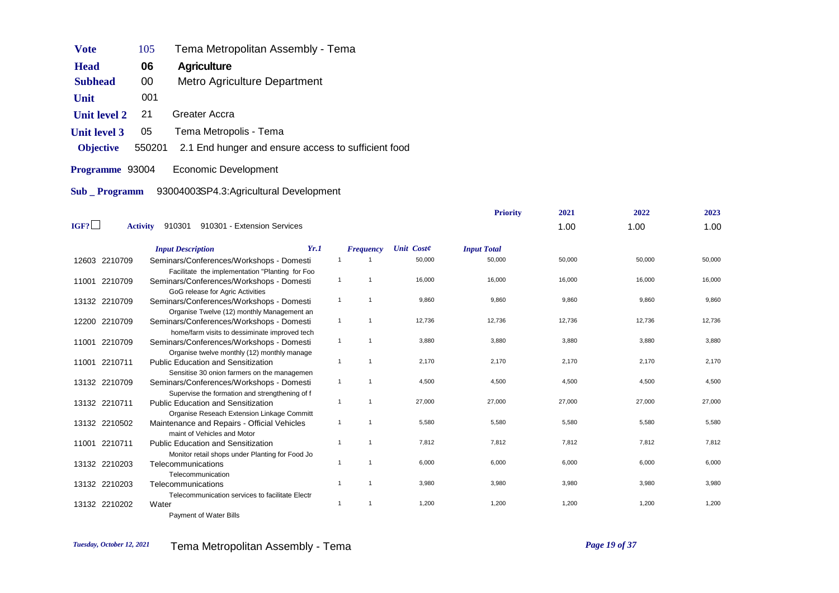| Vote                | 105    | Tema Metropolitan Assembly - Tema                   |
|---------------------|--------|-----------------------------------------------------|
| <b>Head</b>         | 06     | Agriculture                                         |
| <b>Subhead</b>      | 00     | Metro Agriculture Department                        |
| Unit                | 001    |                                                     |
| <b>Unit level 2</b> | 21     | Greater Accra                                       |
| <b>Unit level 3</b> | 05     | Tema Metropolis - Tema                              |
| <b>Objective</b>    | 550201 | 2.1 End hunger and ensure access to sufficient food |
| Programme 93004     |        | Economic Development                                |
| <b>Sub</b> Programm |        | 93004003SP4.3:Agricultural Development              |

|       |                 |                                                                                                                                           |                |                  |                   | <b>Priority</b>    | 2021   | 2022   | 2023   |
|-------|-----------------|-------------------------------------------------------------------------------------------------------------------------------------------|----------------|------------------|-------------------|--------------------|--------|--------|--------|
| IGF?  | <b>Activity</b> | 910301<br>910301 - Extension Services                                                                                                     |                |                  |                   |                    | 1.00   | 1.00   | 1.00   |
|       |                 | <b>Input Description</b>                                                                                                                  | Yr.1           | <b>Frequency</b> | <b>Unit Coste</b> | <b>Input Total</b> |        |        |        |
|       | 12603 2210709   | Seminars/Conferences/Workshops - Domesti                                                                                                  | -1             |                  | 50,000            | 50,000             | 50,000 | 50,000 | 50,000 |
|       | 11001 2210709   | Facilitate the implementation "Planting for Foo<br>Seminars/Conferences/Workshops - Domesti<br>GoG release for Agric Activities           | $\mathbf{1}$   | $\overline{1}$   | 16,000            | 16,000             | 16,000 | 16,000 | 16,000 |
|       | 13132 2210709   | Seminars/Conferences/Workshops - Domesti                                                                                                  | $\mathbf{1}$   | $\overline{1}$   | 9,860             | 9,860              | 9,860  | 9,860  | 9,860  |
|       | 12200 2210709   | Organise Twelve (12) monthly Management an<br>Seminars/Conferences/Workshops - Domesti                                                    | $\mathbf{1}$   | $\overline{1}$   | 12,736            | 12,736             | 12,736 | 12,736 | 12,736 |
| 11001 | 2210709         | home/farm visits to dessiminate improved tech<br>Seminars/Conferences/Workshops - Domesti                                                 | $\mathbf{1}$   | $\mathbf{1}$     | 3,880             | 3,880              | 3,880  | 3,880  | 3,880  |
| 11001 | 2210711         | Organise twelve monthly (12) monthly manage<br><b>Public Education and Sensitization</b>                                                  | $\mathbf{1}$   | $\overline{1}$   | 2,170             | 2,170              | 2,170  | 2,170  | 2,170  |
|       | 13132 2210709   | Sensitise 30 onion farmers on the managemen<br>Seminars/Conferences/Workshops - Domesti<br>Supervise the formation and strengthening of f | $\mathbf{1}$   | $\overline{1}$   | 4,500             | 4,500              | 4,500  | 4,500  | 4,500  |
|       | 13132 2210711   | <b>Public Education and Sensitization</b>                                                                                                 | $\mathbf{1}$   | $\overline{1}$   | 27,000            | 27,000             | 27,000 | 27,000 | 27,000 |
|       | 13132 2210502   | Organise Reseach Extension Linkage Committ<br>Maintenance and Repairs - Official Vehicles<br>maint of Vehicles and Motor                  | $\mathbf{1}$   | -1               | 5,580             | 5,580              | 5,580  | 5,580  | 5,580  |
| 11001 | 2210711         | <b>Public Education and Sensitization</b>                                                                                                 | -1             | -1               | 7.812             | 7.812              | 7.812  | 7.812  | 7,812  |
|       | 13132 2210203   | Monitor retail shops under Planting for Food Jo<br>Telecommunications                                                                     | $\overline{1}$ | $\overline{1}$   | 6,000             | 6,000              | 6,000  | 6,000  | 6,000  |
|       | 13132 2210203   | Telecommunication<br>Telecommunications                                                                                                   | -1             | $\overline{1}$   | 3,980             | 3,980              | 3,980  | 3,980  | 3,980  |
|       | 13132 2210202   | Telecommunication services to facilitate Electr<br>Water<br><b>Payment of Water Bills</b>                                                 | $\overline{1}$ | $\overline{1}$   | 1,200             | 1,200              | 1,200  | 1,200  | 1,200  |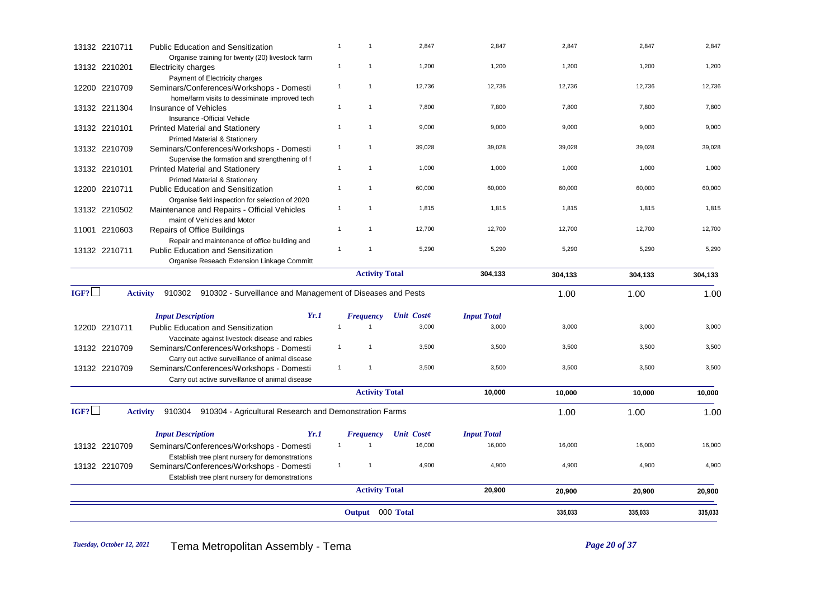| 1,200<br>1,200<br>1,200<br>1,200<br>$\mathbf{1}$<br>$\mathbf{1}$<br>13132 2210201<br>Electricity charges<br>Payment of Electricity charges<br>$\mathbf{1}$<br>12,736<br>12,736<br>12,736<br>12,736<br>12200 2210709<br>$\mathbf{1}$<br>Seminars/Conferences/Workshops - Domesti<br>home/farm visits to dessiminate improved tech<br>7,800<br>7,800<br>7,800<br>7,800<br>$\overline{1}$<br>$\overline{1}$<br>13132 2211304<br>Insurance of Vehicles<br>Insurance -Official Vehicle<br>9,000<br>9,000<br>9,000<br>9,000<br>13132 2210101<br>$\mathbf{1}$<br>$\mathbf{1}$<br><b>Printed Material and Stationery</b><br>Printed Material & Stationery<br>39,028<br>39,028<br>39,028<br>39,028<br>$\overline{1}$<br>$\mathbf{1}$<br>13132 2210709<br>Seminars/Conferences/Workshops - Domesti<br>Supervise the formation and strengthening of f<br>$\overline{1}$<br>$\mathbf{1}$<br>1,000<br>1,000<br>1,000<br>1,000<br>13132 2210101<br><b>Printed Material and Stationery</b><br><b>Printed Material &amp; Stationery</b><br>60,000<br>60,000<br>$\mathbf{1}$<br>60,000<br>60,000<br>12200 2210711<br><b>Public Education and Sensitization</b><br>Organise field inspection for selection of 2020<br>1,815<br>1,815<br>$\mathbf{1}$<br>1,815<br>1,815<br>13132 2210502<br>Maintenance and Repairs - Official Vehicles<br>-1<br>maint of Vehicles and Motor<br>$\mathbf{1}$<br>$\mathbf{1}$<br>12,700<br>12,700<br>12,700<br>12,700<br>11001 2210603<br>Repairs of Office Buildings<br>Repair and maintenance of office building and<br>5,290<br>5,290<br>5,290<br>5,290<br>13132 2210711<br><b>Public Education and Sensitization</b><br>Organise Reseach Extension Linkage Committ<br><b>Activity Total</b><br>304,133<br>304,133<br>304,133<br>IGF?<br>910302 910302 - Surveillance and Management of Diseases and Pests<br><b>Activity</b><br>1.00<br>1.00<br>Yr.1<br><b>Input Description</b><br><b>Unit Coste</b><br><b>Input Total</b><br><b>Frequency</b><br>3,000<br>$\overline{1}$<br>3,000<br>3,000<br>3,000<br>12200 2210711<br><b>Public Education and Sensitization</b><br>Vaccinate against livestock disease and rabies<br>3,500<br>3,500<br>3,500<br>3,500<br>$\mathbf{1}$<br>$\mathbf{1}$<br>13132 2210709<br>Seminars/Conferences/Workshops - Domesti<br>Carry out active surveillance of animal disease<br>3,500<br>3,500<br>3,500<br>3,500<br>$\mathbf{1}$<br>$\mathbf{1}$<br>13132 2210709<br>Seminars/Conferences/Workshops - Domesti<br>Carry out active surveillance of animal disease<br><b>Activity Total</b><br>10,000<br>10,000<br>10,000<br>IGF?<br>910304<br><b>Activity</b><br>910304 - Agricultural Research and Demonstration Farms<br>1.00<br>1.00<br>Yr.1<br><b>Input Description</b><br>Unit Coste<br><b>Input Total</b><br><b>Frequency</b><br>$\mathbf{1}$<br>16,000<br>16,000<br>16,000<br>16,000<br>13132 2210709<br>Seminars/Conferences/Workshops - Domesti<br>$\mathbf{1}$<br>Establish tree plant nursery for demonstrations<br>4,900<br>4,900<br>4,900<br>4,900<br>13132 2210709<br>Seminars/Conferences/Workshops - Domesti<br>$\mathbf 1$<br>Establish tree plant nursery for demonstrations<br><b>Activity Total</b><br>20,900<br>20,900<br>20,900<br>Output 000 Total<br>335,033<br>335,033 | 13132 2210711 | <b>Public Education and Sensitization</b><br>Organise training for twenty (20) livestock farm |  | 2,847 | 2,847 | 2,847 | 2,847 | 2,847   |
|---------------------------------------------------------------------------------------------------------------------------------------------------------------------------------------------------------------------------------------------------------------------------------------------------------------------------------------------------------------------------------------------------------------------------------------------------------------------------------------------------------------------------------------------------------------------------------------------------------------------------------------------------------------------------------------------------------------------------------------------------------------------------------------------------------------------------------------------------------------------------------------------------------------------------------------------------------------------------------------------------------------------------------------------------------------------------------------------------------------------------------------------------------------------------------------------------------------------------------------------------------------------------------------------------------------------------------------------------------------------------------------------------------------------------------------------------------------------------------------------------------------------------------------------------------------------------------------------------------------------------------------------------------------------------------------------------------------------------------------------------------------------------------------------------------------------------------------------------------------------------------------------------------------------------------------------------------------------------------------------------------------------------------------------------------------------------------------------------------------------------------------------------------------------------------------------------------------------------------------------------------------------------------------------------------------------------------------------------------------------------------------------------------------------------------------------------------------------------------------------------------------------------------------------------------------------------------------------------------------------------------------------------------------------------------------------------------------------------------------------------------------------------------------------------------------------------------------------------------------------------------------------------------------------------------------------------------------------------------------------------------------------------------------------------------------------------------------------------------------------------------------------------------------------------------------------------------------------------------------------|---------------|-----------------------------------------------------------------------------------------------|--|-------|-------|-------|-------|---------|
|                                                                                                                                                                                                                                                                                                                                                                                                                                                                                                                                                                                                                                                                                                                                                                                                                                                                                                                                                                                                                                                                                                                                                                                                                                                                                                                                                                                                                                                                                                                                                                                                                                                                                                                                                                                                                                                                                                                                                                                                                                                                                                                                                                                                                                                                                                                                                                                                                                                                                                                                                                                                                                                                                                                                                                                                                                                                                                                                                                                                                                                                                                                                                                                                                                             |               |                                                                                               |  |       |       |       |       | 1,200   |
|                                                                                                                                                                                                                                                                                                                                                                                                                                                                                                                                                                                                                                                                                                                                                                                                                                                                                                                                                                                                                                                                                                                                                                                                                                                                                                                                                                                                                                                                                                                                                                                                                                                                                                                                                                                                                                                                                                                                                                                                                                                                                                                                                                                                                                                                                                                                                                                                                                                                                                                                                                                                                                                                                                                                                                                                                                                                                                                                                                                                                                                                                                                                                                                                                                             |               |                                                                                               |  |       |       |       |       | 12,736  |
|                                                                                                                                                                                                                                                                                                                                                                                                                                                                                                                                                                                                                                                                                                                                                                                                                                                                                                                                                                                                                                                                                                                                                                                                                                                                                                                                                                                                                                                                                                                                                                                                                                                                                                                                                                                                                                                                                                                                                                                                                                                                                                                                                                                                                                                                                                                                                                                                                                                                                                                                                                                                                                                                                                                                                                                                                                                                                                                                                                                                                                                                                                                                                                                                                                             |               |                                                                                               |  |       |       |       |       | 7,800   |
|                                                                                                                                                                                                                                                                                                                                                                                                                                                                                                                                                                                                                                                                                                                                                                                                                                                                                                                                                                                                                                                                                                                                                                                                                                                                                                                                                                                                                                                                                                                                                                                                                                                                                                                                                                                                                                                                                                                                                                                                                                                                                                                                                                                                                                                                                                                                                                                                                                                                                                                                                                                                                                                                                                                                                                                                                                                                                                                                                                                                                                                                                                                                                                                                                                             |               |                                                                                               |  |       |       |       |       | 9,000   |
|                                                                                                                                                                                                                                                                                                                                                                                                                                                                                                                                                                                                                                                                                                                                                                                                                                                                                                                                                                                                                                                                                                                                                                                                                                                                                                                                                                                                                                                                                                                                                                                                                                                                                                                                                                                                                                                                                                                                                                                                                                                                                                                                                                                                                                                                                                                                                                                                                                                                                                                                                                                                                                                                                                                                                                                                                                                                                                                                                                                                                                                                                                                                                                                                                                             |               |                                                                                               |  |       |       |       |       | 39,028  |
|                                                                                                                                                                                                                                                                                                                                                                                                                                                                                                                                                                                                                                                                                                                                                                                                                                                                                                                                                                                                                                                                                                                                                                                                                                                                                                                                                                                                                                                                                                                                                                                                                                                                                                                                                                                                                                                                                                                                                                                                                                                                                                                                                                                                                                                                                                                                                                                                                                                                                                                                                                                                                                                                                                                                                                                                                                                                                                                                                                                                                                                                                                                                                                                                                                             |               |                                                                                               |  |       |       |       |       | 1,000   |
|                                                                                                                                                                                                                                                                                                                                                                                                                                                                                                                                                                                                                                                                                                                                                                                                                                                                                                                                                                                                                                                                                                                                                                                                                                                                                                                                                                                                                                                                                                                                                                                                                                                                                                                                                                                                                                                                                                                                                                                                                                                                                                                                                                                                                                                                                                                                                                                                                                                                                                                                                                                                                                                                                                                                                                                                                                                                                                                                                                                                                                                                                                                                                                                                                                             |               |                                                                                               |  |       |       |       |       | 60,000  |
|                                                                                                                                                                                                                                                                                                                                                                                                                                                                                                                                                                                                                                                                                                                                                                                                                                                                                                                                                                                                                                                                                                                                                                                                                                                                                                                                                                                                                                                                                                                                                                                                                                                                                                                                                                                                                                                                                                                                                                                                                                                                                                                                                                                                                                                                                                                                                                                                                                                                                                                                                                                                                                                                                                                                                                                                                                                                                                                                                                                                                                                                                                                                                                                                                                             |               |                                                                                               |  |       |       |       |       | 1,815   |
|                                                                                                                                                                                                                                                                                                                                                                                                                                                                                                                                                                                                                                                                                                                                                                                                                                                                                                                                                                                                                                                                                                                                                                                                                                                                                                                                                                                                                                                                                                                                                                                                                                                                                                                                                                                                                                                                                                                                                                                                                                                                                                                                                                                                                                                                                                                                                                                                                                                                                                                                                                                                                                                                                                                                                                                                                                                                                                                                                                                                                                                                                                                                                                                                                                             |               |                                                                                               |  |       |       |       |       | 12,700  |
|                                                                                                                                                                                                                                                                                                                                                                                                                                                                                                                                                                                                                                                                                                                                                                                                                                                                                                                                                                                                                                                                                                                                                                                                                                                                                                                                                                                                                                                                                                                                                                                                                                                                                                                                                                                                                                                                                                                                                                                                                                                                                                                                                                                                                                                                                                                                                                                                                                                                                                                                                                                                                                                                                                                                                                                                                                                                                                                                                                                                                                                                                                                                                                                                                                             |               |                                                                                               |  |       |       |       |       | 5,290   |
|                                                                                                                                                                                                                                                                                                                                                                                                                                                                                                                                                                                                                                                                                                                                                                                                                                                                                                                                                                                                                                                                                                                                                                                                                                                                                                                                                                                                                                                                                                                                                                                                                                                                                                                                                                                                                                                                                                                                                                                                                                                                                                                                                                                                                                                                                                                                                                                                                                                                                                                                                                                                                                                                                                                                                                                                                                                                                                                                                                                                                                                                                                                                                                                                                                             |               |                                                                                               |  |       |       |       |       | 304,133 |
|                                                                                                                                                                                                                                                                                                                                                                                                                                                                                                                                                                                                                                                                                                                                                                                                                                                                                                                                                                                                                                                                                                                                                                                                                                                                                                                                                                                                                                                                                                                                                                                                                                                                                                                                                                                                                                                                                                                                                                                                                                                                                                                                                                                                                                                                                                                                                                                                                                                                                                                                                                                                                                                                                                                                                                                                                                                                                                                                                                                                                                                                                                                                                                                                                                             |               |                                                                                               |  |       |       |       |       | 1.00    |
|                                                                                                                                                                                                                                                                                                                                                                                                                                                                                                                                                                                                                                                                                                                                                                                                                                                                                                                                                                                                                                                                                                                                                                                                                                                                                                                                                                                                                                                                                                                                                                                                                                                                                                                                                                                                                                                                                                                                                                                                                                                                                                                                                                                                                                                                                                                                                                                                                                                                                                                                                                                                                                                                                                                                                                                                                                                                                                                                                                                                                                                                                                                                                                                                                                             |               |                                                                                               |  |       |       |       |       |         |
|                                                                                                                                                                                                                                                                                                                                                                                                                                                                                                                                                                                                                                                                                                                                                                                                                                                                                                                                                                                                                                                                                                                                                                                                                                                                                                                                                                                                                                                                                                                                                                                                                                                                                                                                                                                                                                                                                                                                                                                                                                                                                                                                                                                                                                                                                                                                                                                                                                                                                                                                                                                                                                                                                                                                                                                                                                                                                                                                                                                                                                                                                                                                                                                                                                             |               |                                                                                               |  |       |       |       |       | 3,000   |
|                                                                                                                                                                                                                                                                                                                                                                                                                                                                                                                                                                                                                                                                                                                                                                                                                                                                                                                                                                                                                                                                                                                                                                                                                                                                                                                                                                                                                                                                                                                                                                                                                                                                                                                                                                                                                                                                                                                                                                                                                                                                                                                                                                                                                                                                                                                                                                                                                                                                                                                                                                                                                                                                                                                                                                                                                                                                                                                                                                                                                                                                                                                                                                                                                                             |               |                                                                                               |  |       |       |       |       | 3,500   |
|                                                                                                                                                                                                                                                                                                                                                                                                                                                                                                                                                                                                                                                                                                                                                                                                                                                                                                                                                                                                                                                                                                                                                                                                                                                                                                                                                                                                                                                                                                                                                                                                                                                                                                                                                                                                                                                                                                                                                                                                                                                                                                                                                                                                                                                                                                                                                                                                                                                                                                                                                                                                                                                                                                                                                                                                                                                                                                                                                                                                                                                                                                                                                                                                                                             |               |                                                                                               |  |       |       |       |       | 3.500   |
|                                                                                                                                                                                                                                                                                                                                                                                                                                                                                                                                                                                                                                                                                                                                                                                                                                                                                                                                                                                                                                                                                                                                                                                                                                                                                                                                                                                                                                                                                                                                                                                                                                                                                                                                                                                                                                                                                                                                                                                                                                                                                                                                                                                                                                                                                                                                                                                                                                                                                                                                                                                                                                                                                                                                                                                                                                                                                                                                                                                                                                                                                                                                                                                                                                             |               |                                                                                               |  |       |       |       |       | 10,000  |
|                                                                                                                                                                                                                                                                                                                                                                                                                                                                                                                                                                                                                                                                                                                                                                                                                                                                                                                                                                                                                                                                                                                                                                                                                                                                                                                                                                                                                                                                                                                                                                                                                                                                                                                                                                                                                                                                                                                                                                                                                                                                                                                                                                                                                                                                                                                                                                                                                                                                                                                                                                                                                                                                                                                                                                                                                                                                                                                                                                                                                                                                                                                                                                                                                                             |               |                                                                                               |  |       |       |       |       | 1.00    |
|                                                                                                                                                                                                                                                                                                                                                                                                                                                                                                                                                                                                                                                                                                                                                                                                                                                                                                                                                                                                                                                                                                                                                                                                                                                                                                                                                                                                                                                                                                                                                                                                                                                                                                                                                                                                                                                                                                                                                                                                                                                                                                                                                                                                                                                                                                                                                                                                                                                                                                                                                                                                                                                                                                                                                                                                                                                                                                                                                                                                                                                                                                                                                                                                                                             |               |                                                                                               |  |       |       |       |       |         |
|                                                                                                                                                                                                                                                                                                                                                                                                                                                                                                                                                                                                                                                                                                                                                                                                                                                                                                                                                                                                                                                                                                                                                                                                                                                                                                                                                                                                                                                                                                                                                                                                                                                                                                                                                                                                                                                                                                                                                                                                                                                                                                                                                                                                                                                                                                                                                                                                                                                                                                                                                                                                                                                                                                                                                                                                                                                                                                                                                                                                                                                                                                                                                                                                                                             |               |                                                                                               |  |       |       |       |       | 16,000  |
|                                                                                                                                                                                                                                                                                                                                                                                                                                                                                                                                                                                                                                                                                                                                                                                                                                                                                                                                                                                                                                                                                                                                                                                                                                                                                                                                                                                                                                                                                                                                                                                                                                                                                                                                                                                                                                                                                                                                                                                                                                                                                                                                                                                                                                                                                                                                                                                                                                                                                                                                                                                                                                                                                                                                                                                                                                                                                                                                                                                                                                                                                                                                                                                                                                             |               |                                                                                               |  |       |       |       |       | 4,900   |
|                                                                                                                                                                                                                                                                                                                                                                                                                                                                                                                                                                                                                                                                                                                                                                                                                                                                                                                                                                                                                                                                                                                                                                                                                                                                                                                                                                                                                                                                                                                                                                                                                                                                                                                                                                                                                                                                                                                                                                                                                                                                                                                                                                                                                                                                                                                                                                                                                                                                                                                                                                                                                                                                                                                                                                                                                                                                                                                                                                                                                                                                                                                                                                                                                                             |               |                                                                                               |  |       |       |       |       | 20,900  |
|                                                                                                                                                                                                                                                                                                                                                                                                                                                                                                                                                                                                                                                                                                                                                                                                                                                                                                                                                                                                                                                                                                                                                                                                                                                                                                                                                                                                                                                                                                                                                                                                                                                                                                                                                                                                                                                                                                                                                                                                                                                                                                                                                                                                                                                                                                                                                                                                                                                                                                                                                                                                                                                                                                                                                                                                                                                                                                                                                                                                                                                                                                                                                                                                                                             |               |                                                                                               |  |       |       |       |       | 335,033 |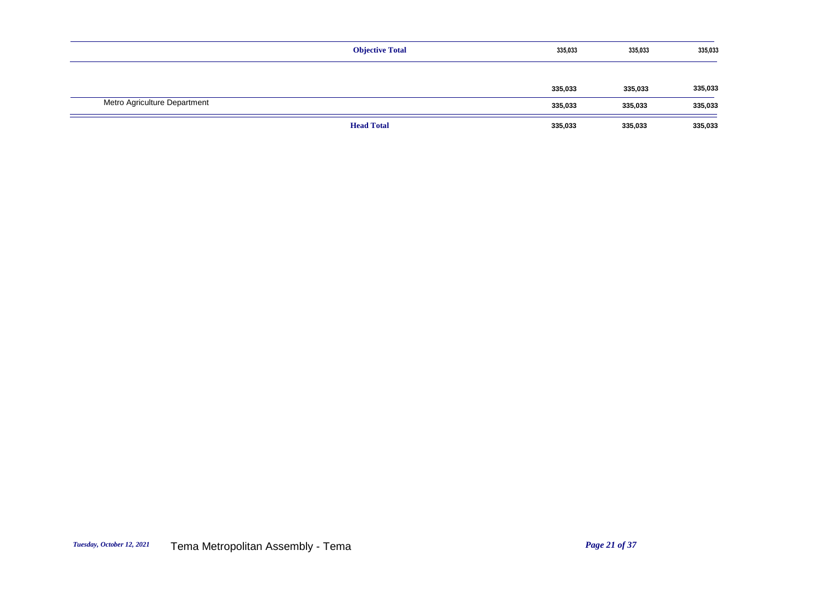|                              | <b>Objective Total</b> | 335,033 | 335,033 | 335,033 |
|------------------------------|------------------------|---------|---------|---------|
|                              |                        |         |         |         |
|                              |                        | 335,033 | 335,033 | 335,033 |
| Metro Agriculture Department |                        | 335,033 | 335,033 | 335,033 |
|                              | <b>Head Total</b>      | 335,033 | 335,033 | 335,033 |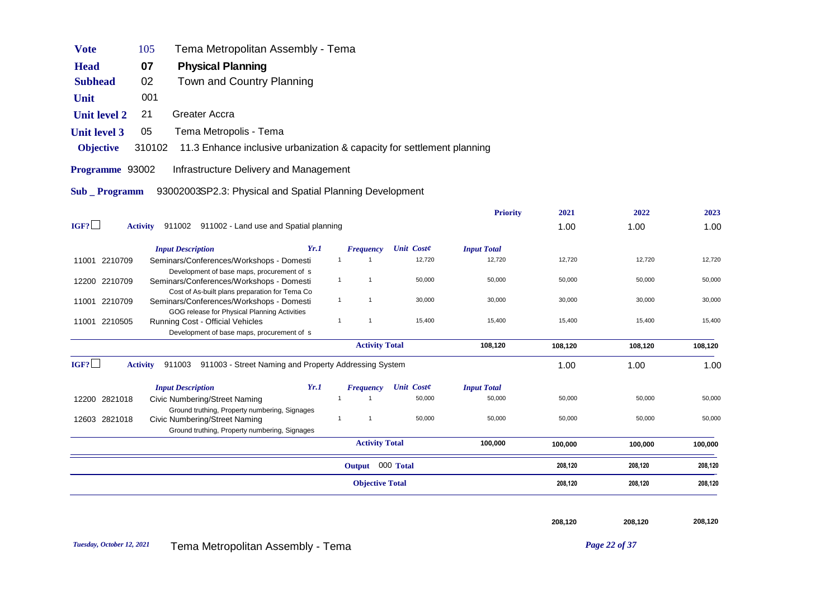|                     |                                                                                            |      | <b>Objective Total</b>           |                      |                              | 208,120 | 208,120 | 208,120 |
|---------------------|--------------------------------------------------------------------------------------------|------|----------------------------------|----------------------|------------------------------|---------|---------|---------|
|                     |                                                                                            |      | Output 000 Total                 |                      |                              | 208,120 | 208,120 | 208,120 |
|                     |                                                                                            |      | <b>Activity Total</b>            |                      | 100,000                      | 100,000 | 100,000 | 100,000 |
| 12603 2821018       | <b>Civic Numbering/Street Naming</b><br>Ground truthing, Property numbering, Signages      |      | $\mathbf{1}$<br>$\overline{1}$   | 50,000               | 50,000                       | 50,000  | 50,000  | 50,000  |
| 12200 2821018       | <b>Civic Numbering/Street Naming</b><br>Ground truthing, Property numbering, Signages      |      |                                  |                      |                              |         |         |         |
|                     | <b>Input Description</b>                                                                   | Yr.1 | <b>Frequency</b><br>$\mathbf{1}$ | Unit Coste<br>50,000 | <b>Input Total</b><br>50,000 | 50,000  | 50,000  | 50,000  |
| IGF?                | 911003 911003 - Street Naming and Property Addressing System<br><b>Activity</b>            |      |                                  |                      |                              | 1.00    | 1.00    | 1.00    |
|                     |                                                                                            |      | <b>Activity Total</b>            |                      | 108,120                      | 108,120 | 108,120 | 108,120 |
|                     | Development of base maps, procurement of s                                                 |      |                                  |                      |                              |         |         |         |
| 11001 2210505       | GOG release for Physical Planning Activities<br>Running Cost - Official Vehicles           |      | $\mathbf{1}$<br>$\mathbf{1}$     | 15,400               | 15,400                       | 15,400  | 15,400  | 15,400  |
| 11001 2210709       | Cost of As-built plans preparation for Tema Co<br>Seminars/Conferences/Workshops - Domesti |      | $\mathbf{1}$<br>-1               | 30,000               | 30,000                       | 30,000  | 30,000  | 30,000  |
| 12200 2210709       | Seminars/Conferences/Workshops - Domesti                                                   |      | $\mathbf{1}$<br>$\mathbf{1}$     | 50,000               | 50,000                       | 50,000  | 50,000  | 50,000  |
| 11001 2210709       | Seminars/Conferences/Workshops - Domesti<br>Development of base maps, procurement of s     |      | $\mathbf{1}$<br>$\mathbf{1}$     | 12,720               | 12,720                       | 12,720  | 12,720  | 12,720  |
|                     | <b>Input Description</b>                                                                   | Yr.1 | <b>Frequency</b>                 | <b>Unit Coste</b>    | <b>Input Total</b>           |         |         |         |
| IGF?                | Activity 911002 911002 - Land use and Spatial planning                                     |      |                                  |                      |                              | 1.00    | 1.00    | 1.00    |
|                     |                                                                                            |      |                                  |                      | <b>Priority</b>              | 2021    | 2022    | 2023    |
| Sub _ Programm      | 93002003SP2.3: Physical and Spatial Planning Development                                   |      |                                  |                      |                              |         |         |         |
| Programme 93002     | Infrastructure Delivery and Management                                                     |      |                                  |                      |                              |         |         |         |
| <b>Objective</b>    | 310102<br>11.3 Enhance inclusive urbanization & capacity for settlement planning           |      |                                  |                      |                              |         |         |         |
| <b>Unit level 3</b> | Tema Metropolis - Tema<br>05                                                               |      |                                  |                      |                              |         |         |         |
| <b>Unit level 2</b> | <b>Greater Accra</b><br>21                                                                 |      |                                  |                      |                              |         |         |         |
|                     |                                                                                            |      |                                  |                      |                              |         |         |         |
| Unit                | 001                                                                                        |      |                                  |                      |                              |         |         |         |
| <b>Subhead</b>      | <b>Physical Planning</b><br>Town and Country Planning<br>02                                |      |                                  |                      |                              |         |         |         |
| <b>Head</b>         | 07                                                                                         |      |                                  |                      |                              |         |         |         |
| <b>Vote</b>         | Tema Metropolitan Assembly - Tema<br>105                                                   |      |                                  |                      |                              |         |         |         |

208,120 208,120 208,120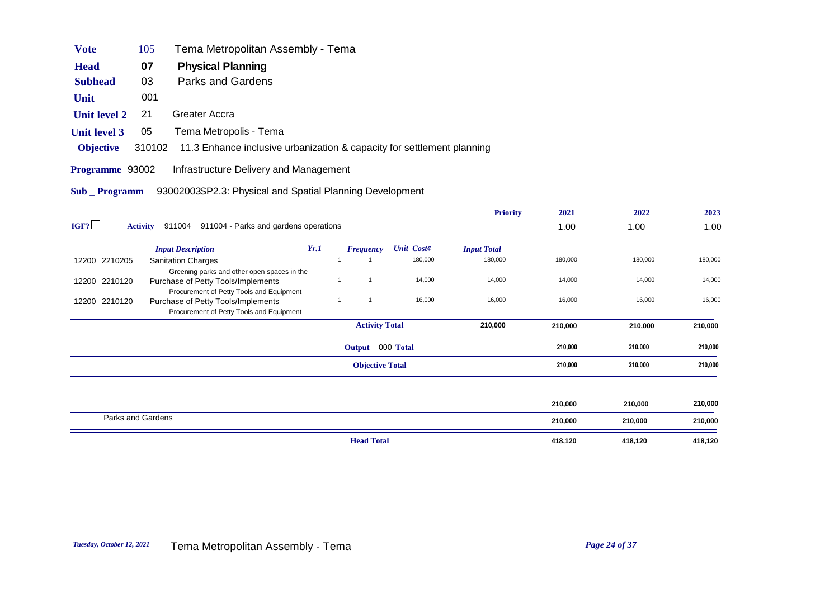| <b>Vote</b>         | 105    | Tema Metropolitan Assembly - Tema                                                                                          |              |                        |                   |                    |         |         |         |
|---------------------|--------|----------------------------------------------------------------------------------------------------------------------------|--------------|------------------------|-------------------|--------------------|---------|---------|---------|
| <b>Head</b>         | 07     | <b>Physical Planning</b>                                                                                                   |              |                        |                   |                    |         |         |         |
| <b>Subhead</b>      | 03     | Parks and Gardens                                                                                                          |              |                        |                   |                    |         |         |         |
| Unit                | 001    |                                                                                                                            |              |                        |                   |                    |         |         |         |
| <b>Unit level 2</b> | 21     | Greater Accra                                                                                                              |              |                        |                   |                    |         |         |         |
| <b>Unit level 3</b> | 05     | Tema Metropolis - Tema                                                                                                     |              |                        |                   |                    |         |         |         |
| <b>Objective</b>    | 310102 | 11.3 Enhance inclusive urbanization & capacity for settlement planning                                                     |              |                        |                   |                    |         |         |         |
| Programme 93002     |        | Infrastructure Delivery and Management                                                                                     |              |                        |                   |                    |         |         |         |
| Sub Programm        |        | 93002003SP2.3: Physical and Spatial Planning Development                                                                   |              |                        |                   |                    |         |         |         |
|                     |        |                                                                                                                            |              |                        |                   | <b>Priority</b>    | 2021    | 2022    | 2023    |
| IGF?                |        | Activity 911004 911004 - Parks and gardens operations                                                                      |              |                        |                   |                    | 1.00    | 1.00    | 1.00    |
|                     |        | Yr.1<br><b>Input Description</b>                                                                                           |              | <b>Frequency</b>       | <b>Unit Coste</b> | <b>Input Total</b> |         |         |         |
| 12200 2210205       |        | <b>Sanitation Charges</b>                                                                                                  | $\mathbf{1}$ |                        | 180,000           | 180,000            | 180,000 | 180,000 | 180,000 |
| 12200 2210120       |        | Greening parks and other open spaces in the<br>Purchase of Petty Tools/Implements                                          | $\mathbf{1}$ | $\mathbf{1}$           | 14,000            | 14,000             | 14,000  | 14,000  | 14,000  |
| 12200 2210120       |        | Procurement of Petty Tools and Equipment<br>Purchase of Petty Tools/Implements<br>Procurement of Petty Tools and Equipment | $\mathbf{1}$ | $\mathbf{1}$           | 16,000            | 16,000             | 16,000  | 16,000  | 16,000  |
|                     |        |                                                                                                                            |              | <b>Activity Total</b>  |                   | 210,000            | 210,000 | 210,000 | 210,000 |
|                     |        |                                                                                                                            |              | Output 000 Total       |                   |                    | 210,000 | 210,000 | 210,000 |
|                     |        |                                                                                                                            |              | <b>Objective Total</b> |                   |                    | 210,000 | 210,000 | 210,000 |
|                     |        |                                                                                                                            |              |                        |                   |                    |         |         |         |
|                     |        |                                                                                                                            |              |                        |                   |                    | 210,000 | 210,000 | 210,000 |

|                   | <b>Head Total</b> | 418,120 | 418,120 | 418,120 |
|-------------------|-------------------|---------|---------|---------|
| Parks and Gardens |                   | 210,000 | 210,000 | 210,000 |
|                   |                   | 210,000 | 210,000 | 210,000 |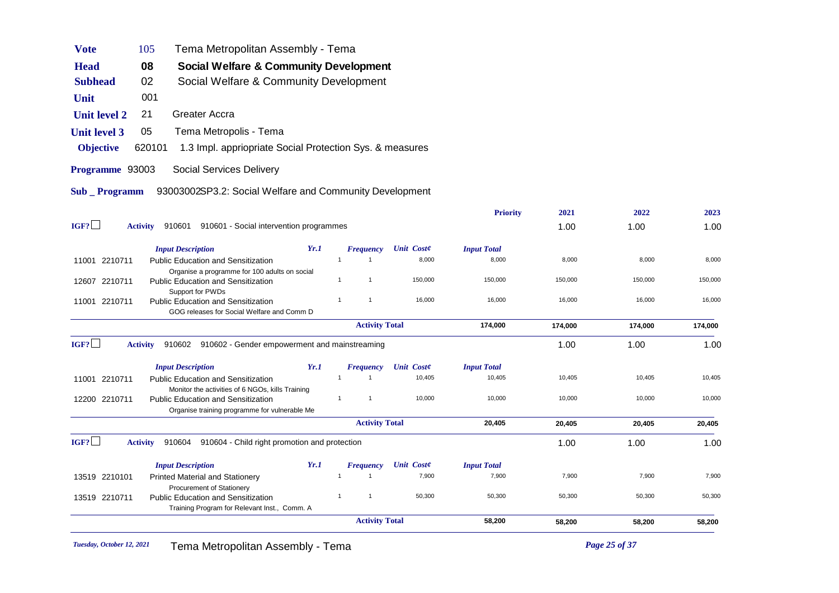| <b>Vote</b>           | 105             | Tema Metropolitan Assembly - Tema                                                                                                              |      |                              |                   |                    |         |         |         |
|-----------------------|-----------------|------------------------------------------------------------------------------------------------------------------------------------------------|------|------------------------------|-------------------|--------------------|---------|---------|---------|
| <b>Head</b>           | 08              | Social Welfare & Community Development                                                                                                         |      |                              |                   |                    |         |         |         |
| <b>Subhead</b>        | 02              | Social Welfare & Community Development                                                                                                         |      |                              |                   |                    |         |         |         |
| Unit                  | 001             |                                                                                                                                                |      |                              |                   |                    |         |         |         |
| <b>Unit level 2</b>   | 21              | Greater Accra                                                                                                                                  |      |                              |                   |                    |         |         |         |
| <b>Unit level 3</b>   | 05              | Tema Metropolis - Tema                                                                                                                         |      |                              |                   |                    |         |         |         |
| <b>Objective</b>      | 620101          | 1.3 Impl. appriopriate Social Protection Sys. & measures                                                                                       |      |                              |                   |                    |         |         |         |
| Programme 93003       |                 | Social Services Delivery                                                                                                                       |      |                              |                   |                    |         |         |         |
| <b>Sub</b> _ Programm |                 | 93003002SP3.2: Social Welfare and Community Development                                                                                        |      |                              |                   |                    |         |         |         |
|                       |                 |                                                                                                                                                |      |                              |                   | <b>Priority</b>    | 2021    | 2022    | 2023    |
| IGF?                  | <b>Activity</b> | 910601 910601 - Social intervention programmes                                                                                                 |      |                              |                   |                    | 1.00    | 1.00    | 1.00    |
|                       |                 | <b>Input Description</b>                                                                                                                       | Yr.1 | <b>Frequency</b>             | <b>Unit Coste</b> | <b>Input Total</b> |         |         |         |
| 11001 2210711         |                 | Public Education and Sensitization                                                                                                             |      |                              | 8,000             | 8,000              | 8,000   | 8,000   | 8,000   |
| 12607 2210711         |                 | Organise a programme for 100 adults on social<br><b>Public Education and Sensitization</b><br>Support for PWDs                                 |      | $\mathbf{1}$                 | 150,000           | 150,000            | 150,000 | 150,000 | 150,000 |
| 11001 2210711         |                 | <b>Public Education and Sensitization</b><br>GOG releases for Social Welfare and Comm D                                                        |      | $\mathbf{1}$<br>$\mathbf{1}$ | 16,000            | 16,000             | 16,000  | 16,000  | 16,000  |
|                       |                 |                                                                                                                                                |      | <b>Activity Total</b>        |                   | 174,000            | 174,000 | 174,000 | 174,000 |
| IGF?                  | <b>Activity</b> | 910602 910602 - Gender empowerment and mainstreaming                                                                                           |      |                              |                   |                    | 1.00    | 1.00    | 1.00    |
|                       |                 | <b>Input Description</b>                                                                                                                       | Yr.1 | <b>Frequency</b>             | <b>Unit Coste</b> | <b>Input Total</b> |         |         |         |
| 11001 2210711         |                 | <b>Public Education and Sensitization</b>                                                                                                      |      | $\mathbf{1}$<br>$\mathbf{1}$ | 10,405            | 10,405             | 10,405  | 10,405  | 10,405  |
| 12200 2210711         |                 | Monitor the activities of 6 NGOs, kills Training<br><b>Public Education and Sensitization</b><br>Organise training programme for vulnerable Me |      | $\mathbf{1}$<br>$\mathbf{1}$ | 10,000            | 10,000             | 10,000  | 10,000  | 10,000  |
|                       |                 |                                                                                                                                                |      | <b>Activity Total</b>        |                   | 20,405             | 20,405  | 20,405  | 20,405  |
| IGF?                  | <b>Activity</b> | 910604<br>910604 - Child right promotion and protection                                                                                        |      |                              |                   |                    | 1.00    | 1.00    | 1.00    |
|                       |                 | <b>Input Description</b>                                                                                                                       | Yr.1 | <b>Frequency</b>             | <b>Unit Coste</b> | <b>Input Total</b> |         |         |         |
| 13519 2210101         |                 | <b>Printed Material and Stationery</b>                                                                                                         |      | $\mathbf{1}$<br>$\mathbf{1}$ | 7,900             | 7,900              | 7,900   | 7,900   | 7,900   |
| 13519 2210711         |                 | Procurement of Stationery<br><b>Public Education and Sensitization</b><br>Training Program for Relevant Inst., Comm. A                         |      | $\mathbf{1}$<br>$\mathbf{1}$ | 50,300            | 50,300             | 50,300  | 50,300  | 50,300  |
|                       |                 |                                                                                                                                                |      | <b>Activity Total</b>        |                   | 58,200             | 58,200  | 58,200  | 58,200  |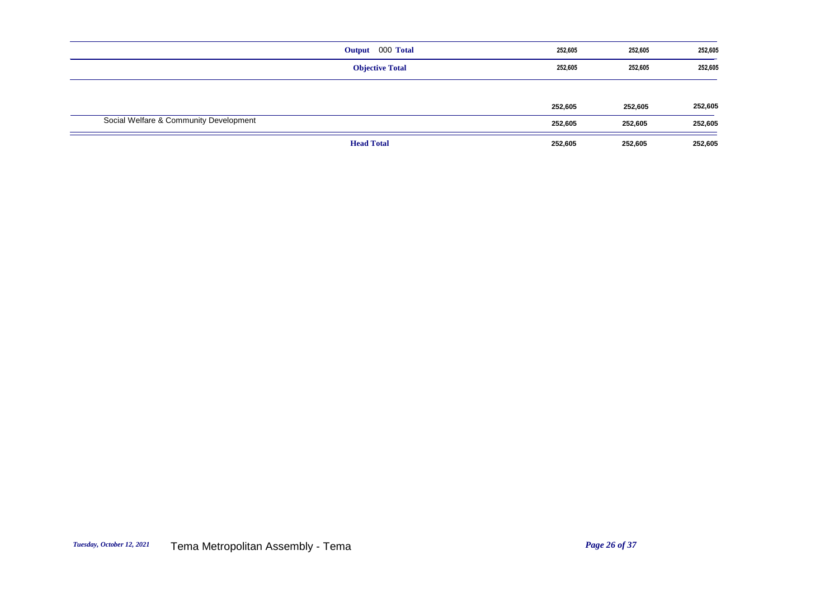|                                        | Output 000 Total       | 252,605 | 252,605 | 252,605 |
|----------------------------------------|------------------------|---------|---------|---------|
|                                        | <b>Objective Total</b> | 252,605 | 252,605 | 252,605 |
|                                        |                        | 252,605 | 252,605 | 252,605 |
| Social Welfare & Community Development |                        | 252,605 | 252,605 | 252,605 |
|                                        | <b>Head Total</b>      | 252,605 | 252,605 | 252,605 |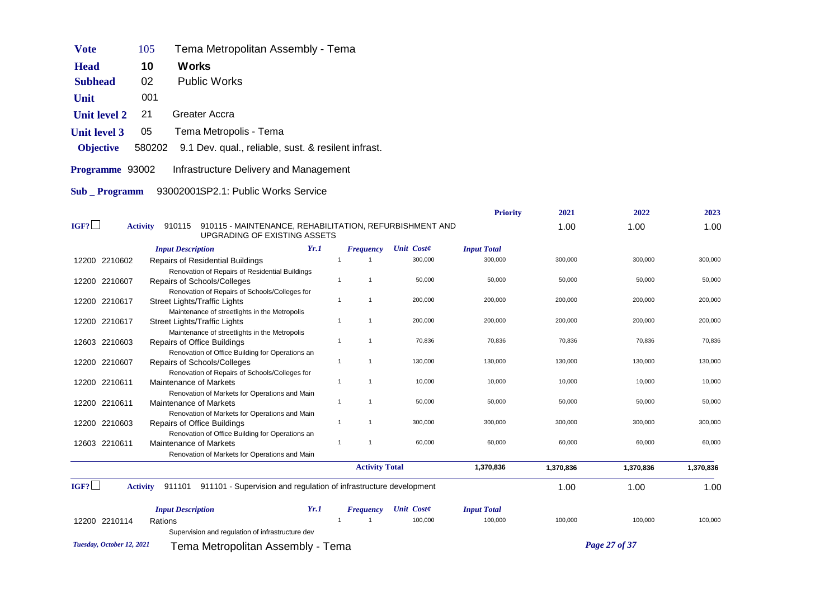| Vote                | 105    | Tema Metropolitan Assembly - Tema                   |
|---------------------|--------|-----------------------------------------------------|
| <b>Head</b>         | 10     | Works                                               |
| Subhead             | 02     | <b>Public Works</b>                                 |
| Unit                | 001    |                                                     |
| <b>Unit level 2</b> | 21     | Greater Accra                                       |
| <b>Unit level 3</b> | 05     | Tema Metropolis - Tema                              |
| <b>Objective</b>    | 580202 | 9.1 Dev. qual., reliable, sust. & resilent infrast. |
| Programme 93002     |        | Infrastructure Delivery and Management              |
| Sub Programm        |        | 93002001SP2.1: Public Works Service                 |

|                           |                                                                                                                      |      |                              |                   | <b>Priority</b>    | 2021      | 2022          | 2023      |
|---------------------------|----------------------------------------------------------------------------------------------------------------------|------|------------------------------|-------------------|--------------------|-----------|---------------|-----------|
| IGF?                      | 910115 - MAINTENANCE, REHABILITATION, REFURBISHMENT AND<br><b>Activity</b><br>910115<br>UPGRADING OF EXISTING ASSETS |      |                              |                   |                    | 1.00      | 1.00          | 1.00      |
|                           | <b>Input Description</b>                                                                                             | Yr.1 | <b>Frequency</b>             | Unit Coste        | <b>Input Total</b> |           |               |           |
| 12200 2210602             | <b>Repairs of Residential Buildings</b>                                                                              |      |                              | 300,000           | 300,000            | 300,000   | 300,000       | 300,000   |
|                           | Renovation of Repairs of Residential Buildings                                                                       |      |                              |                   |                    |           |               |           |
| 12200 2210607             | Repairs of Schools/Colleges                                                                                          |      | $\mathbf{1}$<br>$\mathbf{1}$ | 50,000            | 50,000             | 50,000    | 50,000        | 50,000    |
|                           | Renovation of Repairs of Schools/Colleges for                                                                        |      |                              |                   |                    |           |               |           |
| 2210617<br>12200          | <b>Street Lights/Traffic Lights</b>                                                                                  |      | $\mathbf{1}$<br>$\mathbf{1}$ | 200,000           | 200,000            | 200,000   | 200,000       | 200,000   |
|                           | Maintenance of streetlights in the Metropolis                                                                        |      |                              |                   |                    |           |               |           |
| 12200 2210617             | <b>Street Lights/Traffic Lights</b>                                                                                  |      | $\mathbf{1}$<br>$\mathbf{1}$ | 200,000           | 200,000            | 200,000   | 200,000       | 200,000   |
|                           | Maintenance of streetlights in the Metropolis                                                                        |      | $\mathbf{1}$<br>$\mathbf{1}$ |                   |                    |           |               |           |
| 12603 2210603             | <b>Repairs of Office Buildings</b>                                                                                   |      |                              | 70,836            | 70,836             | 70,836    | 70,836        | 70,836    |
| 12200 2210607             | Renovation of Office Building for Operations an<br>Repairs of Schools/Colleges                                       |      | $\mathbf{1}$<br>$\mathbf{1}$ | 130,000           | 130,000            | 130,000   | 130,000       | 130,000   |
|                           | Renovation of Repairs of Schools/Colleges for                                                                        |      |                              |                   |                    |           |               |           |
| 12200 2210611             | Maintenance of Markets                                                                                               |      | $\mathbf{1}$<br>$\mathbf{1}$ | 10,000            | 10,000             | 10,000    | 10,000        | 10,000    |
|                           | Renovation of Markets for Operations and Main                                                                        |      |                              |                   |                    |           |               |           |
| 12200 2210611             | <b>Maintenance of Markets</b>                                                                                        |      | $\mathbf{1}$<br>$\mathbf{1}$ | 50,000            | 50,000             | 50,000    | 50,000        | 50,000    |
|                           | Renovation of Markets for Operations and Main                                                                        |      |                              |                   |                    |           |               |           |
| 12200 2210603             | <b>Repairs of Office Buildings</b>                                                                                   |      | $\mathbf{1}$<br>$\mathbf{1}$ | 300,000           | 300,000            | 300,000   | 300,000       | 300,000   |
|                           | Renovation of Office Building for Operations an                                                                      |      |                              |                   |                    |           |               |           |
| 12603 2210611             | <b>Maintenance of Markets</b>                                                                                        |      | $\mathbf{1}$<br>$\mathbf{1}$ | 60,000            | 60,000             | 60,000    | 60,000        | 60,000    |
|                           | Renovation of Markets for Operations and Main                                                                        |      |                              |                   |                    |           |               |           |
|                           |                                                                                                                      |      | <b>Activity Total</b>        |                   | 1,370,836          | 1,370,836 | 1,370,836     | 1,370,836 |
| IGF?                      | 911101 - Supervision and regulation of infrastructure development<br><b>Activity</b><br>911101                       |      |                              |                   |                    | 1.00      | 1.00          | 1.00      |
|                           | <b>Input Description</b>                                                                                             | Yr.1 | <b>Frequency</b>             | <b>Unit Coste</b> | <b>Input Total</b> |           |               |           |
| 12200 2210114             | Rations                                                                                                              |      |                              | 100,000           | 100,000            | 100,000   | 100,000       | 100,000   |
|                           | Supervision and regulation of infrastructure dev                                                                     |      |                              |                   |                    |           |               |           |
| Tuesday, October 12, 2021 | Tema Metropolitan Assembly - Tema                                                                                    |      |                              |                   |                    |           | Page 27 of 37 |           |
|                           |                                                                                                                      |      |                              |                   |                    |           |               |           |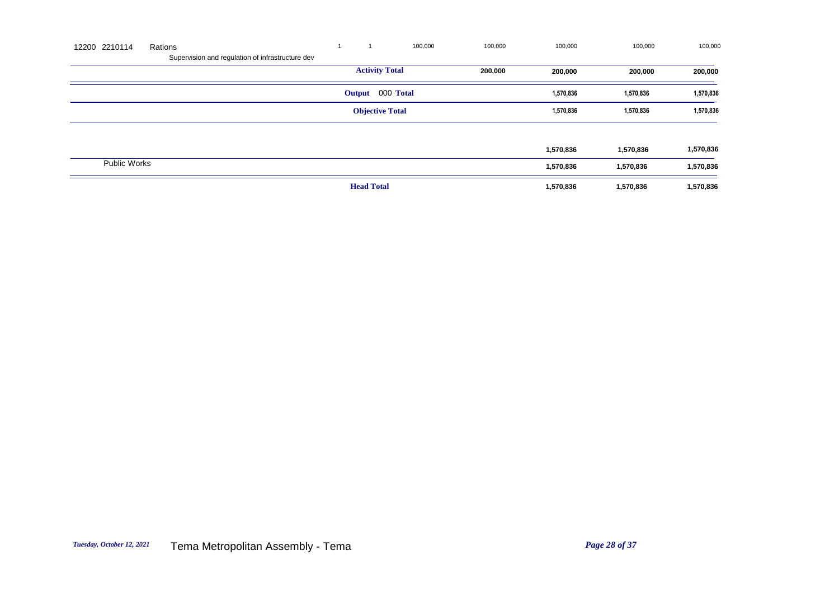| 12200 2210114       | Rations                                          |                        | 100,000 | 100,000 | 100,000   | 100,000   | 100,000   |
|---------------------|--------------------------------------------------|------------------------|---------|---------|-----------|-----------|-----------|
|                     | Supervision and regulation of infrastructure dev |                        |         |         |           |           |           |
|                     |                                                  | <b>Activity Total</b>  |         | 200,000 | 200,000   | 200,000   | 200,000   |
|                     |                                                  | Output 000 Total       |         |         | 1,570,836 | 1,570,836 | 1,570,836 |
|                     |                                                  | <b>Objective Total</b> |         |         | 1,570,836 | 1,570,836 | 1,570,836 |
|                     |                                                  |                        |         |         |           |           |           |
|                     |                                                  |                        |         |         | 1,570,836 | 1,570,836 | 1,570,836 |
| <b>Public Works</b> |                                                  |                        |         |         | 1,570,836 | 1,570,836 | 1,570,836 |
|                     |                                                  | <b>Head Total</b>      |         |         | 1,570,836 | 1,570,836 | 1,570,836 |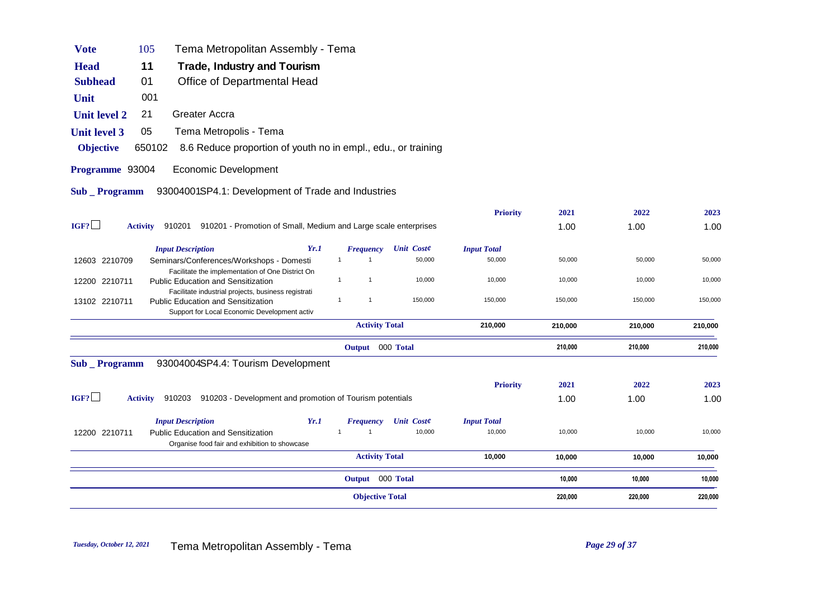|                       |                 |                                                                                                  | <b>Objective Total</b>                               |                              | 220,000 | 220,000 | 220,000 |
|-----------------------|-----------------|--------------------------------------------------------------------------------------------------|------------------------------------------------------|------------------------------|---------|---------|---------|
|                       |                 |                                                                                                  | Output 000 Total                                     |                              | 10,000  | 10,000  | 10,000  |
|                       |                 |                                                                                                  | <b>Activity Total</b>                                | 10,000                       | 10,000  | 10,000  | 10,000  |
| 12200 2210711         |                 | <b>Public Education and Sensitization</b><br>Organise food fair and exhibition to showcase       |                                                      |                              |         |         |         |
|                       |                 | <b>Input Description</b><br>Yr.1                                                                 | <b>Unit Coste</b><br><b>Frequency</b><br>10,000<br>1 | <b>Input Total</b><br>10,000 | 10,000  | 10,000  | 10,000  |
| IGF?                  | <b>Activity</b> | 910203 910203 - Development and promotion of Tourism potentials                                  |                                                      |                              | 1.00    | 1.00    | 1.00    |
|                       |                 |                                                                                                  |                                                      | <b>Priority</b>              | 2021    | 2022    | 2023    |
| <b>Sub</b> Programm   |                 | 93004004SP4.4: Tourism Development                                                               |                                                      |                              |         |         |         |
|                       |                 |                                                                                                  | Output 000 Total                                     |                              | 210,000 | 210,000 | 210,000 |
|                       |                 |                                                                                                  | <b>Activity Total</b>                                | 210,000                      | 210,000 | 210,000 | 210,000 |
| 13102 2210711         |                 | <b>Public Education and Sensitization</b><br>Support for Local Economic Development activ        | 150,000<br>$\mathbf{1}$<br>1                         | 150,000                      | 150,000 | 150,000 | 150,000 |
| 12200 2210711         |                 | <b>Public Education and Sensitization</b><br>Facilitate industrial projects, business registrati | 10,000<br>$\mathbf{1}$<br>$\mathbf{1}$               | 10,000                       | 10,000  | 10,000  | 10,000  |
|                       |                 | Facilitate the implementation of One District On                                                 |                                                      |                              |         |         |         |
| 12603 2210709         |                 | Yr.1<br><b>Input Description</b><br>Seminars/Conferences/Workshops - Domesti                     | <b>Unit Coste</b><br><b>Frequency</b><br>50,000<br>1 | <b>Input Total</b><br>50,000 | 50,000  | 50,000  | 50,000  |
| IGF?                  | <b>Activity</b> | 910201 910201 - Promotion of Small, Medium and Large scale enterprises                           |                                                      |                              | 1.00    | 1.00    | 1.00    |
|                       |                 |                                                                                                  |                                                      | <b>Priority</b>              | 2021    | 2022    | 2023    |
| <b>Sub</b> _ Programm |                 | 93004001SP4.1: Development of Trade and Industries                                               |                                                      |                              |         |         |         |
| Programme 93004       |                 | <b>Economic Development</b>                                                                      |                                                      |                              |         |         |         |
| <b>Objective</b>      | 650102          | 8.6 Reduce proportion of youth no in empl., edu., or training                                    |                                                      |                              |         |         |         |
| <b>Unit level 3</b>   | 05              | Tema Metropolis - Tema                                                                           |                                                      |                              |         |         |         |
| <b>Unit level 2</b>   | 21              | Greater Accra                                                                                    |                                                      |                              |         |         |         |
| Unit                  | 001             |                                                                                                  |                                                      |                              |         |         |         |
| <b>Subhead</b>        | 01              | Office of Departmental Head                                                                      |                                                      |                              |         |         |         |
| <b>Head</b>           | 11              | Trade, Industry and Tourism                                                                      |                                                      |                              |         |         |         |

**Vote** 105 Tema Metropolitan Assembly - Tema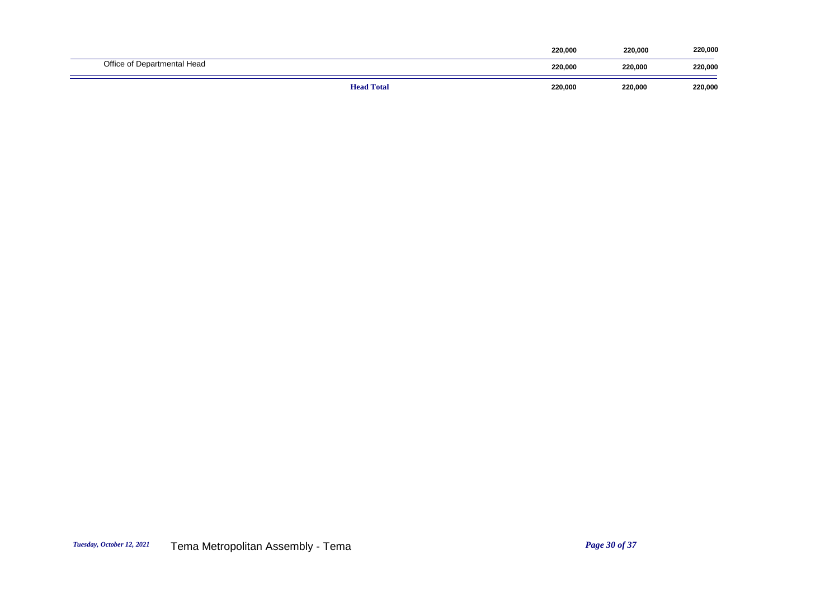|                             | <b>Head Total</b> | 220,000 | 220,000 | 220,000 |
|-----------------------------|-------------------|---------|---------|---------|
| Office of Departmental Head |                   | 220,000 | 220,000 | 220,000 |
|                             |                   | 220,000 | 220,000 | 220,000 |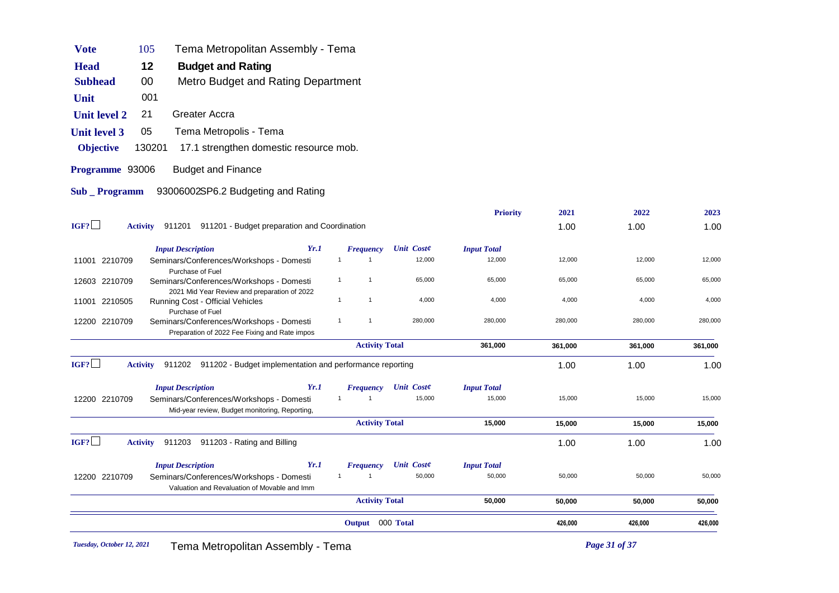| <b>Vote</b>         | Tema Metropolitan Assembly - Tema<br>105                                                   |                                |                   |                    |         |         |         |
|---------------------|--------------------------------------------------------------------------------------------|--------------------------------|-------------------|--------------------|---------|---------|---------|
| <b>Head</b>         | 12<br><b>Budget and Rating</b>                                                             |                                |                   |                    |         |         |         |
| <b>Subhead</b>      | 00<br>Metro Budget and Rating Department                                                   |                                |                   |                    |         |         |         |
| Unit                | 001                                                                                        |                                |                   |                    |         |         |         |
| <b>Unit level 2</b> | <b>Greater Accra</b><br>21                                                                 |                                |                   |                    |         |         |         |
| <b>Unit level 3</b> | Tema Metropolis - Tema<br>05                                                               |                                |                   |                    |         |         |         |
| <b>Objective</b>    | 130201<br>17.1 strengthen domestic resource mob.                                           |                                |                   |                    |         |         |         |
| Programme 93006     | <b>Budget and Finance</b>                                                                  |                                |                   |                    |         |         |         |
| Sub _ Programm      | 93006002SP6.2 Budgeting and Rating                                                         |                                |                   |                    |         |         |         |
|                     |                                                                                            |                                |                   | <b>Priority</b>    | 2021    | 2022    | 2023    |
| IGF?                | Activity 911201 911201 - Budget preparation and Coordination                               |                                |                   |                    | 1.00    | 1.00    | 1.00    |
|                     | Yr.1<br><b>Input Description</b>                                                           | <b>Frequency</b>               | <b>Unit Coste</b> | <b>Input Total</b> |         |         |         |
| 11001 2210709       | Seminars/Conferences/Workshops - Domesti                                                   | $\mathbf{1}$<br>$\overline{1}$ | 12,000            | 12,000             | 12,000  | 12,000  | 12,000  |
| 12603 2210709       | Purchase of Fuel<br>Seminars/Conferences/Workshops - Domesti                               | $\mathbf{1}$<br>$\mathbf{1}$   | 65,000            | 65,000             | 65,000  | 65,000  | 65,000  |
| 11001 2210505       | 2021 Mid Year Review and preparation of 2022<br>Running Cost - Official Vehicles           | $\mathbf{1}$<br>$\overline{1}$ | 4,000             | 4,000              | 4,000   | 4,000   | 4,000   |
|                     | Purchase of Fuel                                                                           |                                |                   |                    |         |         |         |
| 12200 2210709       | Seminars/Conferences/Workshops - Domesti<br>Preparation of 2022 Fee Fixing and Rate impos  | $\mathbf{1}$<br>$\overline{1}$ | 280,000           | 280,000            | 280,000 | 280,000 | 280,000 |
|                     |                                                                                            | <b>Activity Total</b>          |                   | 361,000            | 361,000 | 361,000 | 361,000 |
| IGF?                | 911202 911202 - Budget implementation and performance reporting<br><b>Activity</b>         |                                |                   |                    | 1.00    | 1.00    | 1.00    |
|                     | <b>Input Description</b><br>Yr.1                                                           | <b>Frequency</b>               | <b>Unit Coste</b> | <b>Input Total</b> |         |         |         |
| 12200 2210709       | Seminars/Conferences/Workshops - Domesti<br>Mid-year review, Budget monitoring, Reporting, | $\mathbf{1}$<br>$\mathbf{1}$   | 15,000            | 15,000             | 15,000  | 15,000  | 15,000  |
|                     |                                                                                            | <b>Activity Total</b>          |                   | 15,000             | 15,000  | 15,000  | 15,000  |
| IGF?                | <b>Activity</b><br>911203 911203 - Rating and Billing                                      |                                |                   |                    | 1.00    | 1.00    | 1.00    |
|                     | Yr.1<br><b>Input Description</b>                                                           | <b>Frequency</b>               | <b>Unit Coste</b> | <b>Input Total</b> |         |         |         |
| 12200 2210709       | Seminars/Conferences/Workshops - Domesti<br>Valuation and Revaluation of Movable and Imm   | $\mathbf{1}$<br>$\mathbf{1}$   | 50,000            | 50,000             | 50,000  | 50,000  | 50,000  |
|                     |                                                                                            | <b>Activity Total</b>          |                   | 50,000             | 50,000  | 50,000  | 50,000  |
|                     |                                                                                            | Output 000 Total               |                   |                    | 426,000 | 426,000 | 426,000 |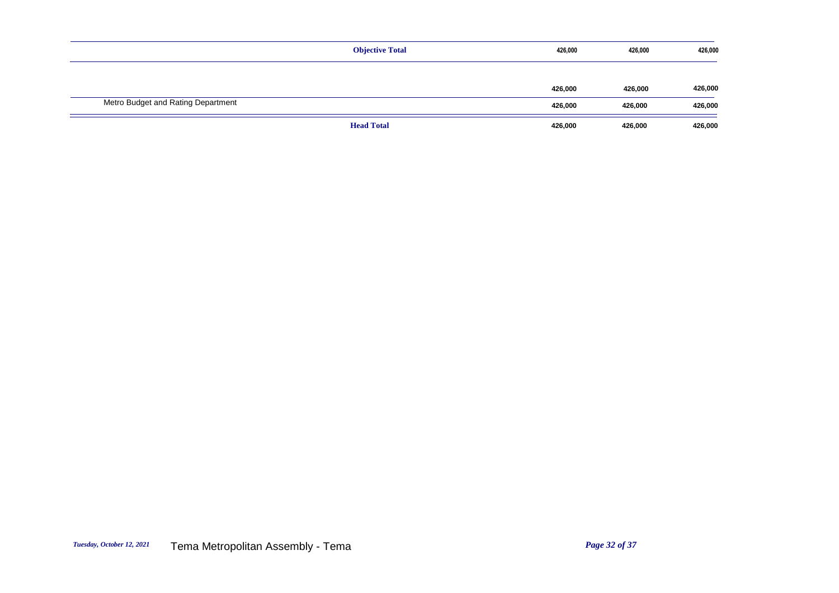|                                    | <b>Objective Total</b> | 426,000 | 426,000 | 426,000 |
|------------------------------------|------------------------|---------|---------|---------|
|                                    |                        |         |         |         |
|                                    |                        | 426,000 | 426,000 | 426,000 |
| Metro Budget and Rating Department |                        | 426,000 | 426,000 | 426,000 |
|                                    | <b>Head Total</b>      | 426,000 | 426,000 | 426,000 |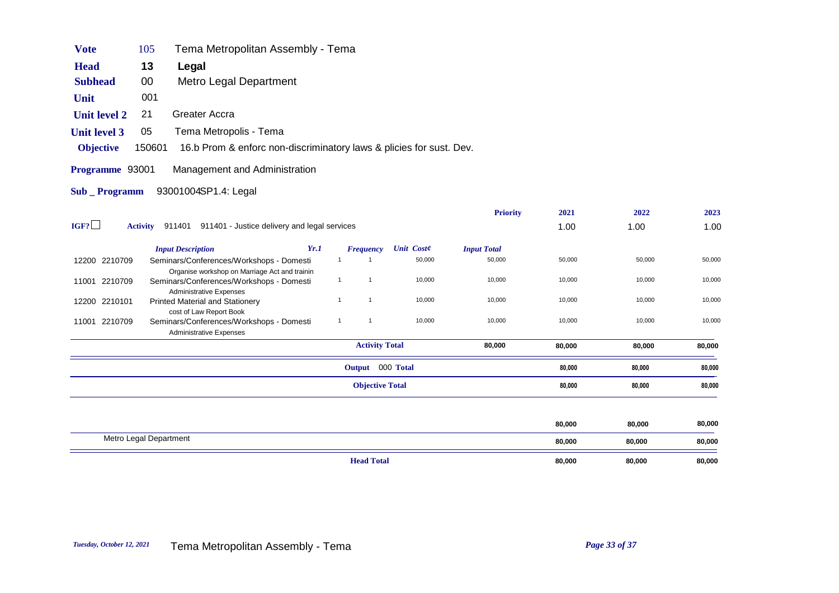| <b>Vote</b>                                      | 105    | Tema Metropolitan Assembly - Tema                                   |  |  |  |  |
|--------------------------------------------------|--------|---------------------------------------------------------------------|--|--|--|--|
| <b>Head</b>                                      | 13     | Legal                                                               |  |  |  |  |
| <b>Subhead</b>                                   | 00     | Metro Legal Department                                              |  |  |  |  |
| <b>Unit</b>                                      | 001    |                                                                     |  |  |  |  |
| <b>Unit level 2</b>                              | 21     | Greater Accra                                                       |  |  |  |  |
| <b>Unit level 3</b>                              | 05     | Tema Metropolis - Tema                                              |  |  |  |  |
| <b>Objective</b>                                 | 150601 | 16.b Prom & enforc non-discriminatory laws & plicies for sust. Dev. |  |  |  |  |
| Management and Administration<br>Programme 93001 |        |                                                                     |  |  |  |  |
| 93001004SP1.4: Legal<br>Sub Programm             |        |                                                                     |  |  |  |  |
|                                                  |        |                                                                     |  |  |  |  |
|                                                  |        |                                                                     |  |  |  |  |

|      |                 |                                                                                                       |      |                       |                        |                   | <b>Priority</b>    | 2021   | 2022   | 2023   |
|------|-----------------|-------------------------------------------------------------------------------------------------------|------|-----------------------|------------------------|-------------------|--------------------|--------|--------|--------|
| IGF? | <b>Activity</b> | 911401 - Justice delivery and legal services<br>911401                                                |      |                       |                        |                   |                    | 1.00   | 1.00   | 1.00   |
|      |                 | <b>Input Description</b>                                                                              | Yr.1 |                       | Frequency              | <b>Unit Coste</b> | <b>Input Total</b> |        |        |        |
|      | 12200 2210709   | Seminars/Conferences/Workshops - Domesti<br>Organise workshop on Marriage Act and trainin             |      | -1                    |                        | 50,000            | 50,000             | 50,000 | 50,000 | 50,000 |
|      | 11001 2210709   | Seminars/Conferences/Workshops - Domesti<br><b>Administrative Expenses</b>                            |      | $\mathbf{1}$          | $\mathbf{1}$           | 10,000            | 10,000             | 10,000 | 10,000 | 10,000 |
|      | 12200 2210101   | <b>Printed Material and Stationery</b>                                                                |      |                       | 1                      | 10,000            | 10,000             | 10,000 | 10,000 | 10,000 |
|      | 11001 2210709   | cost of Law Report Book<br>Seminars/Conferences/Workshops - Domesti<br><b>Administrative Expenses</b> |      | $\mathbf 1$           | 1                      | 10,000            | 10,000             | 10,000 | 10,000 | 10,000 |
|      |                 |                                                                                                       |      | <b>Activity Total</b> |                        |                   | 80,000             | 80,000 | 80,000 | 80,000 |
|      |                 |                                                                                                       |      |                       | Output 000 Total       |                   |                    | 80,000 | 80,000 | 80,000 |
|      |                 |                                                                                                       |      |                       | <b>Objective Total</b> |                   |                    | 80,000 | 80,000 | 80,000 |
|      |                 |                                                                                                       |      |                       |                        |                   |                    |        |        |        |
|      |                 |                                                                                                       |      |                       |                        |                   |                    | 80,000 | 80,000 | 80,000 |
|      |                 | Metro Legal Department                                                                                |      |                       |                        |                   |                    | 80,000 | 80,000 | 80,000 |
|      |                 |                                                                                                       |      |                       | <b>Head Total</b>      |                   |                    | 80,000 | 80,000 | 80,000 |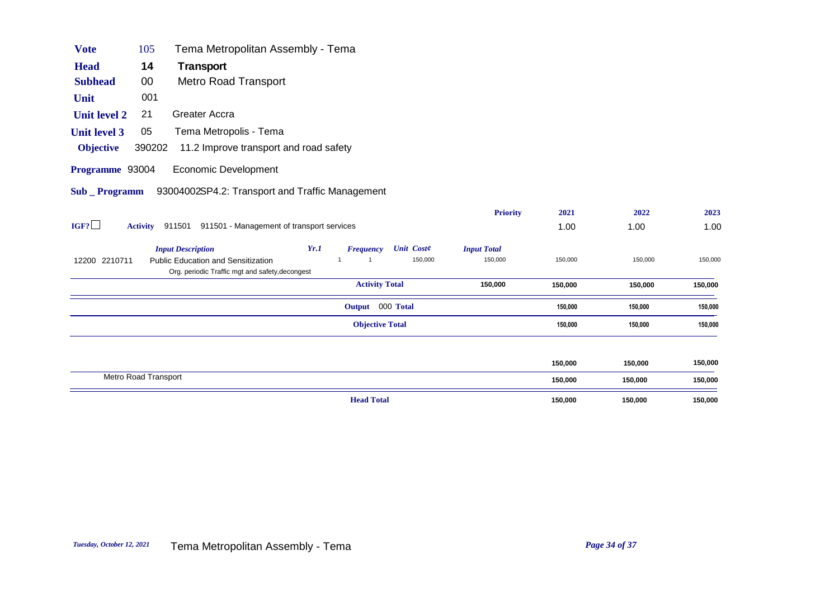| <b>Vote</b>         | 105                  | Tema Metropolitan Assembly - Tema                                                            |      |                        |                   |                    |         |         |         |
|---------------------|----------------------|----------------------------------------------------------------------------------------------|------|------------------------|-------------------|--------------------|---------|---------|---------|
| <b>Head</b>         | 14                   | Transport                                                                                    |      |                        |                   |                    |         |         |         |
| <b>Subhead</b>      | $00\,$               | <b>Metro Road Transport</b>                                                                  |      |                        |                   |                    |         |         |         |
| Unit                | 001                  |                                                                                              |      |                        |                   |                    |         |         |         |
| Unit level 2        | 21                   | Greater Accra                                                                                |      |                        |                   |                    |         |         |         |
| <b>Unit level 3</b> | 05                   | Tema Metropolis - Tema                                                                       |      |                        |                   |                    |         |         |         |
| <b>Objective</b>    | 390202               | 11.2 Improve transport and road safety                                                       |      |                        |                   |                    |         |         |         |
| Programme 93004     |                      | Economic Development                                                                         |      |                        |                   |                    |         |         |         |
| Sub Programm        |                      | 93004002SP4.2: Transport and Traffic Management                                              |      |                        |                   |                    |         |         |         |
|                     |                      |                                                                                              |      |                        |                   | <b>Priority</b>    | 2021    | 2022    | 2023    |
| IGF?                |                      | Activity 911501 911501 - Management of transport services                                    |      |                        |                   |                    | 1.00    | 1.00    | 1.00    |
|                     |                      | <b>Input Description</b>                                                                     | Yr.1 | <b>Frequency</b>       | <b>Unit Coste</b> | <b>Input Total</b> |         |         |         |
| 12200 2210711       |                      | <b>Public Education and Sensitization</b><br>Org. periodic Traffic mgt and safety, decongest |      | $\overline{1}$         | 150,000           | 150,000            | 150,000 | 150,000 | 150,000 |
|                     |                      |                                                                                              |      | <b>Activity Total</b>  |                   | 150,000            | 150,000 | 150,000 | 150,000 |
|                     |                      |                                                                                              |      | Output 000 Total       |                   |                    | 150,000 | 150,000 | 150,000 |
|                     |                      |                                                                                              |      | <b>Objective Total</b> |                   |                    | 150,000 | 150,000 | 150,000 |
|                     |                      |                                                                                              |      |                        |                   |                    |         |         |         |
|                     |                      |                                                                                              |      |                        |                   |                    | 150,000 | 150,000 | 150,000 |
|                     | Metro Road Transport |                                                                                              |      |                        |                   |                    | 150,000 | 150,000 | 150,000 |

|                   | <br>.   | <br>.        |               |
|-------------------|---------|--------------|---------------|
| <b>Head Total</b> | 150,000 | 150,000<br>. | 150,000<br>__ |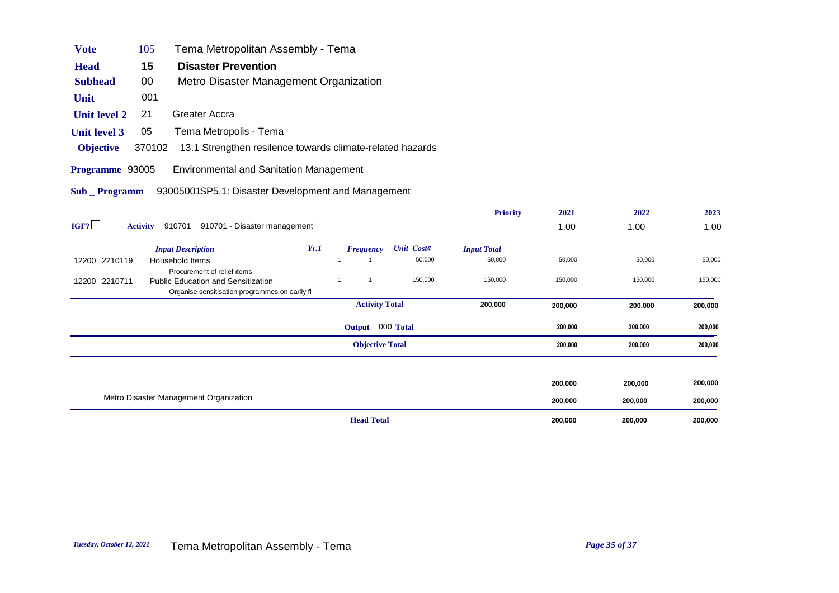| <b>Vote</b>         | 105                                                                              | Tema Metropolitan Assembly - Tema                                        |      |              |                        |                   |                    |         |         |         |
|---------------------|----------------------------------------------------------------------------------|--------------------------------------------------------------------------|------|--------------|------------------------|-------------------|--------------------|---------|---------|---------|
| <b>Head</b>         | 15                                                                               | <b>Disaster Prevention</b>                                               |      |              |                        |                   |                    |         |         |         |
| <b>Subhead</b>      | 00                                                                               | Metro Disaster Management Organization                                   |      |              |                        |                   |                    |         |         |         |
| Unit                | 001                                                                              |                                                                          |      |              |                        |                   |                    |         |         |         |
| <b>Unit level 2</b> | 21                                                                               | Greater Accra                                                            |      |              |                        |                   |                    |         |         |         |
| <b>Unit level 3</b> | 05                                                                               | Tema Metropolis - Tema                                                   |      |              |                        |                   |                    |         |         |         |
| <b>Objective</b>    | 370102                                                                           | 13.1 Strengthen resilence towards climate-related hazards                |      |              |                        |                   |                    |         |         |         |
| Programme 93005     |                                                                                  | <b>Environmental and Sanitation Management</b>                           |      |              |                        |                   |                    |         |         |         |
| Sub _ Programm      |                                                                                  | 93005001SP5.1: Disaster Development and Management                       |      |              |                        |                   |                    |         |         |         |
|                     |                                                                                  |                                                                          |      |              |                        |                   | <b>Priority</b>    | 2021    | 2022    | 2023    |
| IGF?                | <b>Activity</b>                                                                  | 910701 910701 - Disaster management                                      |      |              |                        |                   |                    | 1.00    | 1.00    | 1.00    |
|                     |                                                                                  | <b>Input Description</b>                                                 | Yr.1 |              | <b>Frequency</b>       | <b>Unit Coste</b> | <b>Input Total</b> |         |         |         |
| 12200 2210119       |                                                                                  | Household Items                                                          |      |              |                        | 50,000            | 50,000             | 50,000  | 50,000  | 50,000  |
| 12200 2210711       |                                                                                  | Procurement of relief items<br><b>Public Education and Sensitization</b> |      | $\mathbf{1}$ | $\mathbf{1}$           | 150,000           | 150,000            | 150,000 | 150,000 | 150,000 |
|                     |                                                                                  | Organise sensitisation programmes on earlly fl                           |      |              |                        |                   |                    |         |         |         |
|                     |                                                                                  |                                                                          |      |              | <b>Activity Total</b>  |                   | 200,000            | 200,000 | 200,000 | 200,000 |
|                     |                                                                                  |                                                                          |      |              | Output 000 Total       |                   |                    | 200,000 | 200,000 | 200,000 |
|                     |                                                                                  |                                                                          |      |              | <b>Objective Total</b> |                   |                    | 200,000 | 200,000 | 200,000 |
|                     |                                                                                  |                                                                          |      |              |                        |                   |                    |         |         |         |
|                     | $\mathbf{a}$ and $\mathbf{a}$ and $\mathbf{a}$ and $\mathbf{a}$ and $\mathbf{a}$ | $\sim$<br><b>Contract Contract</b>                                       |      |              |                        |                   |                    | 200,000 | 200,000 | 200,000 |

| <b>Head Total</b>                      | 200,000 | 200,000 | 200,000 |
|----------------------------------------|---------|---------|---------|
| Metro Disaster Management Organization | 200,000 | 200.000 | 200,000 |
|                                        | 200,000 | 200,000 | 200,000 |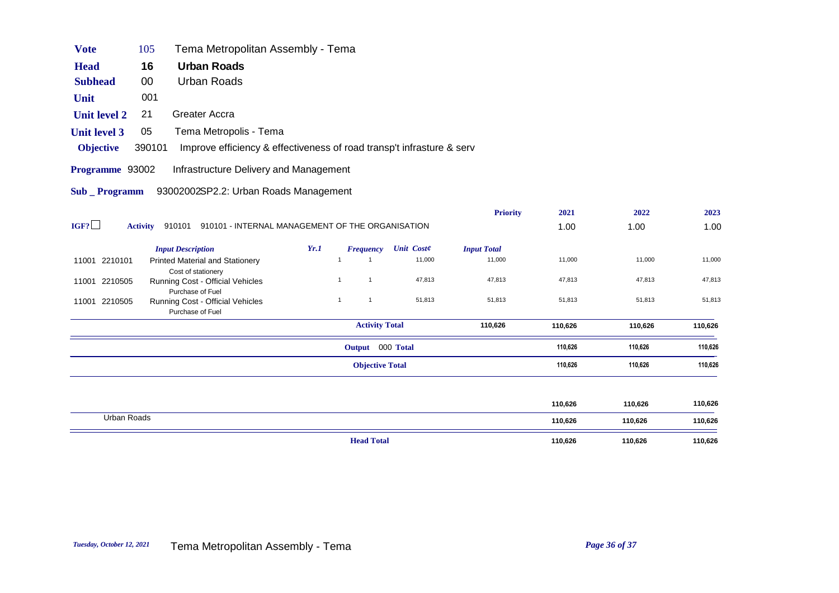| <b>Vote</b>         | 105             | Tema Metropolitan Assembly - Tema                                        |      |              |                        |                   |                    |         |         |         |
|---------------------|-----------------|--------------------------------------------------------------------------|------|--------------|------------------------|-------------------|--------------------|---------|---------|---------|
| <b>Head</b>         | 16              | <b>Urban Roads</b>                                                       |      |              |                        |                   |                    |         |         |         |
| <b>Subhead</b>      | 00              | Urban Roads                                                              |      |              |                        |                   |                    |         |         |         |
| Unit                | 001             |                                                                          |      |              |                        |                   |                    |         |         |         |
| <b>Unit level 2</b> | 21              | Greater Accra                                                            |      |              |                        |                   |                    |         |         |         |
| <b>Unit level 3</b> | 05              | Tema Metropolis - Tema                                                   |      |              |                        |                   |                    |         |         |         |
| <b>Objective</b>    | 390101          | Improve efficiency & effectiveness of road transp't infrasture & serv    |      |              |                        |                   |                    |         |         |         |
| Programme 93002     |                 | Infrastructure Delivery and Management                                   |      |              |                        |                   |                    |         |         |         |
| Sub Programm        |                 | 93002002SP2.2: Urban Roads Management                                    |      |              |                        |                   |                    |         |         |         |
|                     |                 |                                                                          |      |              |                        |                   | <b>Priority</b>    | 2021    | 2022    | 2023    |
| IGF?                | <b>Activity</b> | 910101 910101 - INTERNAL MANAGEMENT OF THE ORGANISATION                  |      |              |                        |                   |                    | 1.00    | 1.00    | 1.00    |
|                     |                 | <b>Input Description</b>                                                 | Yr.1 |              | <b>Frequency</b>       | <b>Unit Coste</b> | <b>Input Total</b> |         |         |         |
| 11001 2210101       |                 | <b>Printed Material and Stationery</b>                                   |      | $\mathbf{1}$ | $\mathbf{1}$           | 11,000            | 11,000             | 11,000  | 11,000  | 11,000  |
| 11001 2210505       |                 | Cost of stationery<br>Running Cost - Official Vehicles                   |      | $\mathbf{1}$ | $\mathbf{1}$           | 47,813            | 47,813             | 47,813  | 47,813  | 47,813  |
| 11001 2210505       |                 | Purchase of Fuel<br>Running Cost - Official Vehicles<br>Purchase of Fuel |      | $\mathbf{1}$ | $\mathbf{1}$           | 51,813            | 51,813             | 51,813  | 51,813  | 51,813  |
|                     |                 |                                                                          |      |              | <b>Activity Total</b>  |                   | 110,626            | 110,626 | 110,626 | 110,626 |
|                     |                 |                                                                          |      |              | Output 000 Total       |                   |                    | 110,626 | 110,626 | 110,626 |
|                     |                 |                                                                          |      |              | <b>Objective Total</b> |                   |                    | 110,626 | 110,626 | 110,626 |
|                     |                 |                                                                          |      |              |                        |                   |                    |         |         |         |
|                     |                 |                                                                          |      |              |                        |                   |                    | 110,626 | 110,626 | 110,626 |

| Urban Roads |                   | 110,626<br>. | 10,626  | 110,626 |
|-------------|-------------------|--------------|---------|---------|
|             | <b>Head Total</b> | 110,626      | 110,626 | 110,626 |